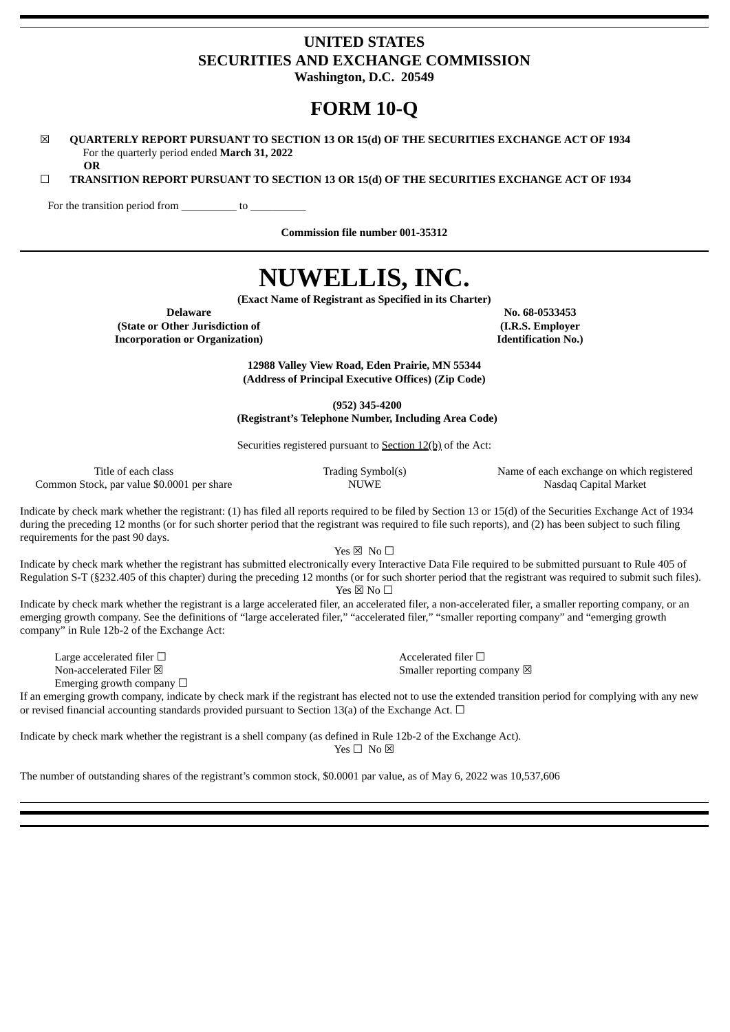# **UNITED STATES SECURITIES AND EXCHANGE COMMISSION**

**Washington, D.C. 20549**

# **FORM 10-Q**

☒ **QUARTERLY REPORT PURSUANT TO SECTION 13 OR 15(d) OF THE SECURITIES EXCHANGE ACT OF 1934** For the quarterly period ended **March 31, 2022 OR**

☐ **TRANSITION REPORT PURSUANT TO SECTION 13 OR 15(d) OF THE SECURITIES EXCHANGE ACT OF 1934**

For the transition period from \_\_\_\_\_\_\_\_\_\_\_\_ to \_

**Commission file number 001-35312**

# **NUWELLIS, INC.**

**(Exact Name of Registrant as Specified in its Charter)**

**(State or Other Jurisdiction of Incorporation or Organization)**

**Delaware No. 68-0533453 (I.R.S. Employer Identification No.)**

> **12988 Valley View Road, Eden Prairie, MN 55344 (Address of Principal Executive Offices) (Zip Code)**

**(952) 345-4200 (Registrant's Telephone Number, Including Area Code)**

Securities registered pursuant to Section 12(b) of the Act:

| Title of each class                        | Trading Symbol(s) | Name of each exchange on which registered |
|--------------------------------------------|-------------------|-------------------------------------------|
| Common Stock, par value \$0.0001 per share | NUWE              | Nasdaq Capital Market                     |

Indicate by check mark whether the registrant: (1) has filed all reports required to be filed by Section 13 or 15(d) of the Securities Exchange Act of 1934 during the preceding 12 months (or for such shorter period that the registrant was required to file such reports), and (2) has been subject to such filing requirements for the past 90 days.

Yes  $\boxtimes$  No  $\square$ 

Indicate by check mark whether the registrant has submitted electronically every Interactive Data File required to be submitted pursuant to Rule 405 of Regulation S-T (§232.405 of this chapter) during the preceding 12 months (or for such shorter period that the registrant was required to submit such files).

Yes  $\boxtimes$  No  $\square$ 

Indicate by check mark whether the registrant is a large accelerated filer, an accelerated filer, a non-accelerated filer, a smaller reporting company, or an emerging growth company. See the definitions of "large accelerated filer," "accelerated filer," "smaller reporting company" and "emerging growth company" in Rule 12b-2 of the Exchange Act:

Large accelerated filer  $\Box$ Non-accelerated Filer  $\boxtimes$  Smaller reporting company  $\boxtimes$ 

Emerging growth company  $\Box$ 

If an emerging growth company, indicate by check mark if the registrant has elected not to use the extended transition period for complying with any new or revised financial accounting standards provided pursuant to Section 13(a) of the Exchange Act.  $\Box$ 

Indicate by check mark whether the registrant is a shell company (as defined in Rule 12b-2 of the Exchange Act). Yes □ No ⊠

The number of outstanding shares of the registrant's common stock, \$0.0001 par value, as of May 6, 2022 was 10,537,606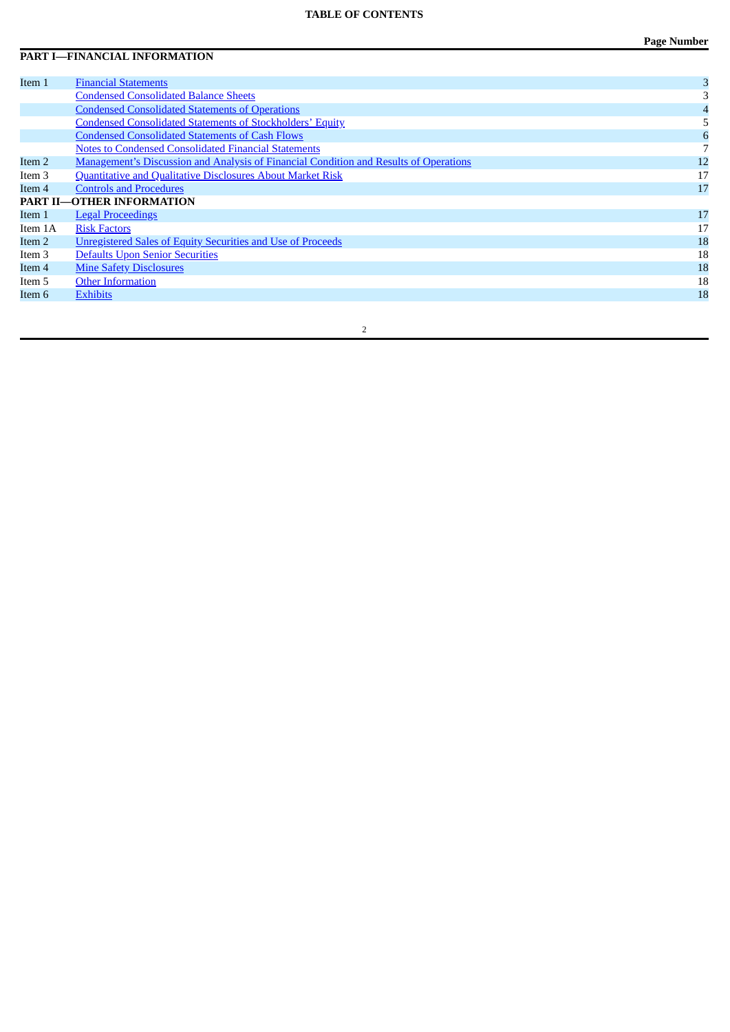# **TABLE OF CONTENTS**

# <span id="page-1-0"></span>**PART I—FINANCIAL INFORMATION**

| Item 1  | <b>Financial Statements</b>                                                                  | 3  |
|---------|----------------------------------------------------------------------------------------------|----|
|         | <b>Condensed Consolidated Balance Sheets</b>                                                 |    |
|         | <b>Condensed Consolidated Statements of Operations</b>                                       |    |
|         | <b>Condensed Consolidated Statements of Stockholders' Equity</b>                             |    |
|         | <b>Condensed Consolidated Statements of Cash Flows</b>                                       | 6  |
|         | <b>Notes to Condensed Consolidated Financial Statements</b>                                  |    |
| Item 2  | <b>Management's Discussion and Analysis of Financial Condition and Results of Operations</b> | 12 |
| Item 3  | Quantitative and Qualitative Disclosures About Market Risk                                   | 17 |
| Item 4  | <b>Controls and Procedures</b>                                                               | 17 |
|         | <b>PART II-OTHER INFORMATION</b>                                                             |    |
| Item 1  | <b>Legal Proceedings</b>                                                                     | 17 |
| Item 1A | <b>Risk Factors</b>                                                                          | 17 |
| Item 2  | <b>Unregistered Sales of Equity Securities and Use of Proceeds</b>                           | 18 |
| Item 3  | <b>Defaults Upon Senior Securities</b>                                                       | 18 |
| Item 4  | <b>Mine Safety Disclosures</b>                                                               | 18 |
| Item 5  | <b>Other Information</b>                                                                     | 18 |
| Item 6  | <b>Exhibits</b>                                                                              | 18 |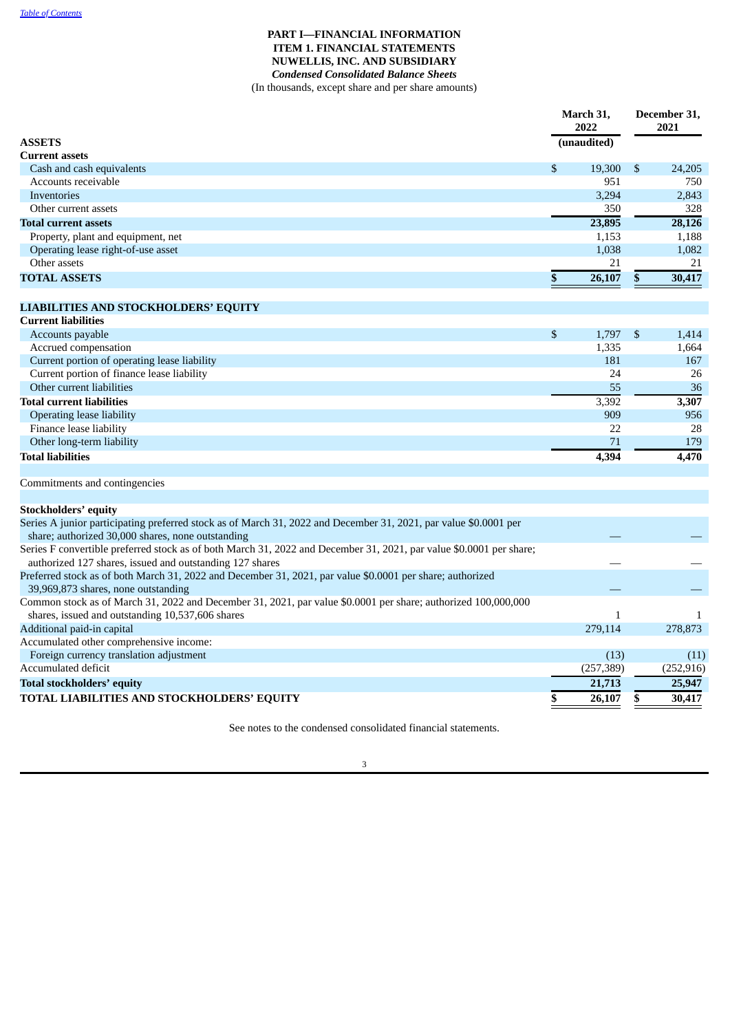# <span id="page-2-1"></span><span id="page-2-0"></span>**PART I—FINANCIAL INFORMATION ITEM 1. FINANCIAL STATEMENTS NUWELLIS, INC. AND SUBSIDIARY** *Condensed Consolidated Balance Sheets* (In thousands, except share and per share amounts)

|                                    | March 31.<br>2022 |               | December 31,<br>2021 |
|------------------------------------|-------------------|---------------|----------------------|
| <b>ASSETS</b>                      | (unaudited)       |               |                      |
| <b>Current assets</b>              |                   |               |                      |
| Cash and cash equivalents          | \$<br>19,300      | <sup>\$</sup> | 24,205               |
| Accounts receivable                | 951               |               | 750                  |
| Inventories                        | 3,294             |               | 2,843                |
| Other current assets               | 350               |               | 328                  |
| Total current assets               | 23,895            |               | 28,126               |
| Property, plant and equipment, net | 1,153             |               | 1,188                |
| Operating lease right-of-use asset | 1,038             |               | 1,082                |
| Other assets                       | 21                |               | 21                   |
| <b>TOTAL ASSETS</b>                | 26,107            |               | 30,417               |

# **LIABILITIES AND STOCKHOLDERS' EQUITY**

| <b>Current liabilities</b>                   |             |    |       |
|----------------------------------------------|-------------|----|-------|
| Accounts payable                             | \$<br>1.797 | S. | 1,414 |
| Accrued compensation                         | 1,335       |    | 1,664 |
| Current portion of operating lease liability | 181         |    | 167   |
| Current portion of finance lease liability   | 24          |    | 26    |
| Other current liabilities                    | 55          |    | 36    |
| <b>Total current liabilities</b>             | 3.392       |    | 3,307 |
| Operating lease liability                    | 909         |    | 956   |
| Finance lease liability                      | 22          |    | 28    |
| Other long-term liability                    | 71          |    | 179   |
| <b>Total liabilities</b>                     | 4,394       |    | 4,470 |
|                                              |             |    |       |

Commitments and contingencies

# **Stockholders' equity**

| Series A junior participating preferred stock as of March 31, 2022 and December 31, 2021, par value \$0.0001 per    |            |            |
|---------------------------------------------------------------------------------------------------------------------|------------|------------|
| share; authorized 30,000 shares, none outstanding                                                                   |            |            |
| Series F convertible preferred stock as of both March 31, 2022 and December 31, 2021, par value \$0.0001 per share; |            |            |
| authorized 127 shares, issued and outstanding 127 shares                                                            |            |            |
| Preferred stock as of both March 31, 2022 and December 31, 2021, par value \$0.0001 per share; authorized           |            |            |
| 39,969,873 shares, none outstanding                                                                                 |            |            |
| Common stock as of March 31, 2022 and December 31, 2021, par value \$0.0001 per share; authorized 100,000,000       |            |            |
| shares, issued and outstanding 10,537,606 shares                                                                    |            |            |
| Additional paid-in capital                                                                                          | 279,114    | 278,873    |
| Accumulated other comprehensive income:                                                                             |            |            |
| Foreign currency translation adjustment                                                                             | (13)       | (11)       |
| Accumulated deficit                                                                                                 | (257, 389) | (252, 916) |
| Total stockholders' equity                                                                                          | 21,713     | 25,947     |
| TOTAL LIABILITIES AND STOCKHOLDERS' EQUITY                                                                          | 26,107     | 30,417     |
|                                                                                                                     |            |            |

See notes to the condensed consolidated financial statements.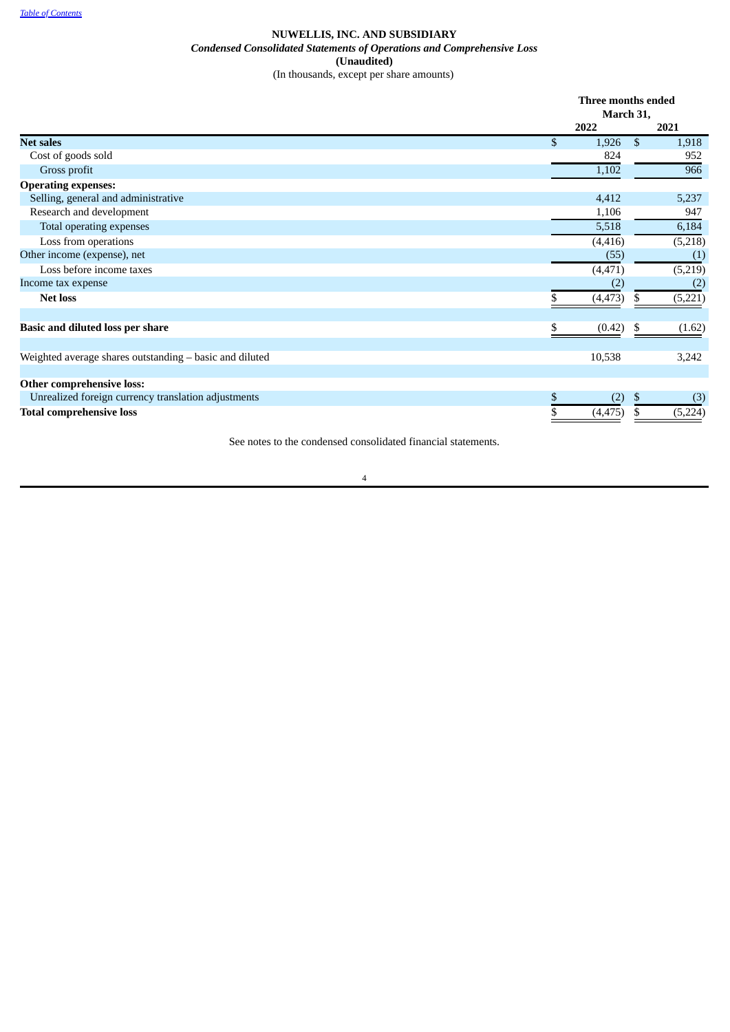# <span id="page-3-0"></span>**NUWELLIS, INC. AND SUBSIDIARY** *Condensed Consolidated Statements of Operations and Comprehensive Loss* **(Unaudited)** (In thousands, except per share amounts)

|                                                         |                | Three months ended<br>March 31, |  |
|---------------------------------------------------------|----------------|---------------------------------|--|
|                                                         | 2022           | 2021                            |  |
| <b>Net sales</b>                                        | \$<br>1,926    | $\mathbb{S}$<br>1,918           |  |
| Cost of goods sold                                      | 824            | 952                             |  |
| Gross profit                                            | 1,102          | 966                             |  |
| <b>Operating expenses:</b>                              |                |                                 |  |
| Selling, general and administrative                     | 4,412          | 5,237                           |  |
| Research and development                                | 1,106          | 947                             |  |
| Total operating expenses                                | 5,518          | 6,184                           |  |
| Loss from operations                                    | (4, 416)       | (5,218)                         |  |
| Other income (expense), net                             | (55)           | (1)                             |  |
| Loss before income taxes                                | (4, 471)       | (5,219)                         |  |
| Income tax expense                                      | (2)            | (2)                             |  |
| <b>Net loss</b>                                         | (4, 473)       | (5,221)<br>\$.                  |  |
|                                                         |                |                                 |  |
| Basic and diluted loss per share                        | \$<br>(0.42)   | \$<br>(1.62)                    |  |
|                                                         |                |                                 |  |
| Weighted average shares outstanding - basic and diluted | 10,538         | 3,242                           |  |
|                                                         |                |                                 |  |
| Other comprehensive loss:                               |                |                                 |  |
| Unrealized foreign currency translation adjustments     | \$<br>(2)      | (3)<br>\$                       |  |
| <b>Total comprehensive loss</b>                         | \$<br>(4, 475) | (5,224)<br>S.                   |  |
|                                                         |                |                                 |  |

See notes to the condensed consolidated financial statements.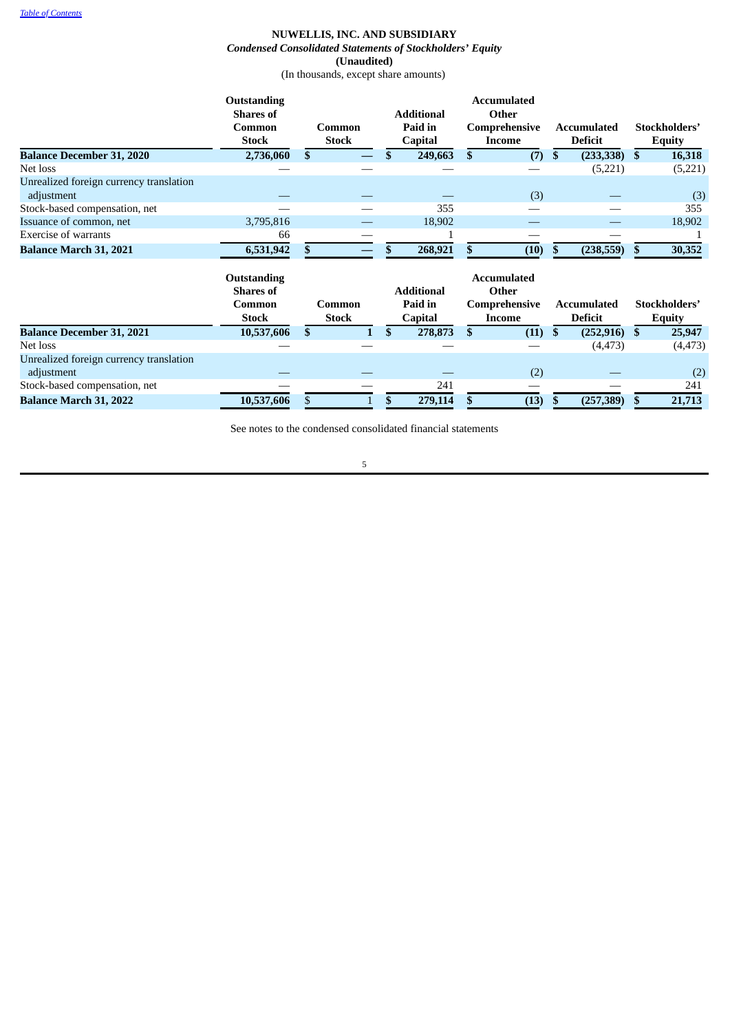# **NUWELLIS, INC. AND SUBSIDIARY** *Condensed Consolidated Statements of Stockholders' Equity* **(Unaudited)**

<span id="page-4-0"></span>(In thousands, except share amounts)

|                                                       | Outstanding<br><b>Shares of</b><br>Common<br><b>Stock</b> |              | Common<br><b>Stock</b> | <b>Additional</b><br>Paid in<br><b>Capital</b> |              | <b>Accumulated</b><br>Other<br>Comprehensive<br>Income        |              | <b>Accumulated</b><br><b>Deficit</b> |               | Stockholders'<br><b>Equity</b> |
|-------------------------------------------------------|-----------------------------------------------------------|--------------|------------------------|------------------------------------------------|--------------|---------------------------------------------------------------|--------------|--------------------------------------|---------------|--------------------------------|
| <b>Balance December 31, 2020</b>                      | 2,736,060                                                 | $\mathbf{s}$ |                        | \$<br>249,663                                  | \$           | (7)                                                           | $\mathbf{s}$ | (233, 338)                           | <sup>\$</sup> | 16,318                         |
| Net loss                                              |                                                           |              |                        |                                                |              |                                                               |              | (5,221)                              |               | (5,221)                        |
| Unrealized foreign currency translation<br>adjustment |                                                           |              |                        |                                                |              | (3)                                                           |              |                                      |               | (3)                            |
| Stock-based compensation, net                         |                                                           |              |                        | 355                                            |              |                                                               |              |                                      |               | 355                            |
| Issuance of common, net                               | 3,795,816                                                 |              |                        | 18,902                                         |              |                                                               |              |                                      |               | 18,902                         |
| <b>Exercise of warrants</b>                           | 66                                                        |              |                        |                                                |              |                                                               |              |                                      |               |                                |
| <b>Balance March 31, 2021</b>                         | 6,531,942                                                 | S.           |                        | 268,921                                        |              | (10)                                                          | S.           | (238, 559)                           | S.            | 30,352                         |
|                                                       | Outstanding<br><b>Shares of</b><br>Common<br><b>Stock</b> |              | Common<br><b>Stock</b> | <b>Additional</b><br>Paid in<br><b>Capital</b> |              | <b>Accumulated</b><br>Other<br>Comprehensive<br><b>Income</b> |              | <b>Accumulated</b><br><b>Deficit</b> |               | Stockholders'<br><b>Equity</b> |
| <b>Balance December 31, 2021</b>                      | 10,537,606                                                | $\mathbf{s}$ |                        | \$<br>278,873                                  | $\mathbf{s}$ | (11)                                                          | $\mathbf{s}$ | (252, 916)                           | <sup>\$</sup> | 25,947                         |
| Net loss                                              |                                                           |              |                        |                                                |              |                                                               |              | (4, 473)                             |               | (4, 473)                       |
| Unrealized foreign currency translation<br>adjustment |                                                           |              |                        |                                                |              | (2)                                                           |              |                                      |               | (2)                            |
| Stock-based compensation, net                         |                                                           |              |                        | 241                                            |              |                                                               |              |                                      |               | 241                            |
| <b>Balance March 31, 2022</b>                         | 10,537,606                                                | \$.          |                        | \$<br>279,114                                  |              | (13)                                                          | S            | (257, 389)                           |               | 21,713                         |

See notes to the condensed consolidated financial statements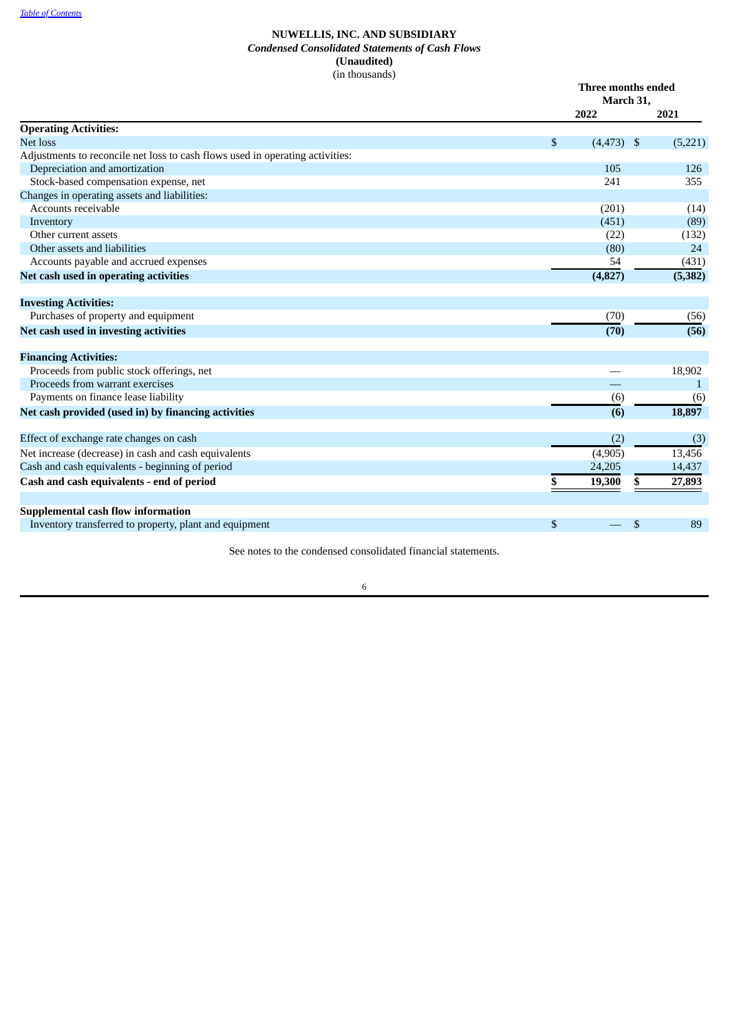# <span id="page-5-0"></span>**NUWELLIS, INC. AND SUBSIDIARY** *Condensed Consolidated Statements of Cash Flows* **(Unaudited)** (in thousands)

|                                                                               |                    | Three months ended<br>March 31, |
|-------------------------------------------------------------------------------|--------------------|---------------------------------|
|                                                                               | 2022               | 2021                            |
| <b>Operating Activities:</b>                                                  |                    |                                 |
| <b>Net loss</b>                                                               | \$<br>$(4,473)$ \$ | (5,221)                         |
| Adjustments to reconcile net loss to cash flows used in operating activities: |                    |                                 |
| Depreciation and amortization                                                 | 105                | 126                             |
| Stock-based compensation expense, net                                         | 241                | 355                             |
| Changes in operating assets and liabilities:                                  |                    |                                 |
| Accounts receivable                                                           | (201)              | (14)                            |
| Inventory                                                                     | (451)              | (89)                            |
| Other current assets                                                          | (22)               | (132)                           |
| Other assets and liabilities                                                  | (80)               | 24                              |
| Accounts payable and accrued expenses                                         | 54                 | (431)                           |
| Net cash used in operating activities                                         | (4,827)            | (5, 382)                        |
| <b>Investing Activities:</b>                                                  |                    |                                 |
| Purchases of property and equipment                                           | (70)               | (56)                            |
| Net cash used in investing activities                                         | (70)               | (56)                            |
| <b>Financing Activities:</b>                                                  |                    |                                 |
| Proceeds from public stock offerings, net                                     |                    | 18,902                          |
| Proceeds from warrant exercises                                               |                    | 1                               |
| Payments on finance lease liability                                           | (6)                | (6)                             |
| Net cash provided (used in) by financing activities                           | (6)                | 18,897                          |
| Effect of exchange rate changes on cash                                       | (2)                | (3)                             |
| Net increase (decrease) in cash and cash equivalents                          | (4,905)            | 13,456                          |
| Cash and cash equivalents - beginning of period                               | 24,205             | 14,437                          |
| Cash and cash equivalents - end of period                                     | 19,300<br>\$       | 27,893<br>\$                    |
|                                                                               |                    |                                 |
| <b>Supplemental cash flow information</b>                                     |                    |                                 |
| Inventory transferred to property, plant and equipment                        | \$                 | 89<br>\$                        |

See notes to the condensed consolidated financial statements.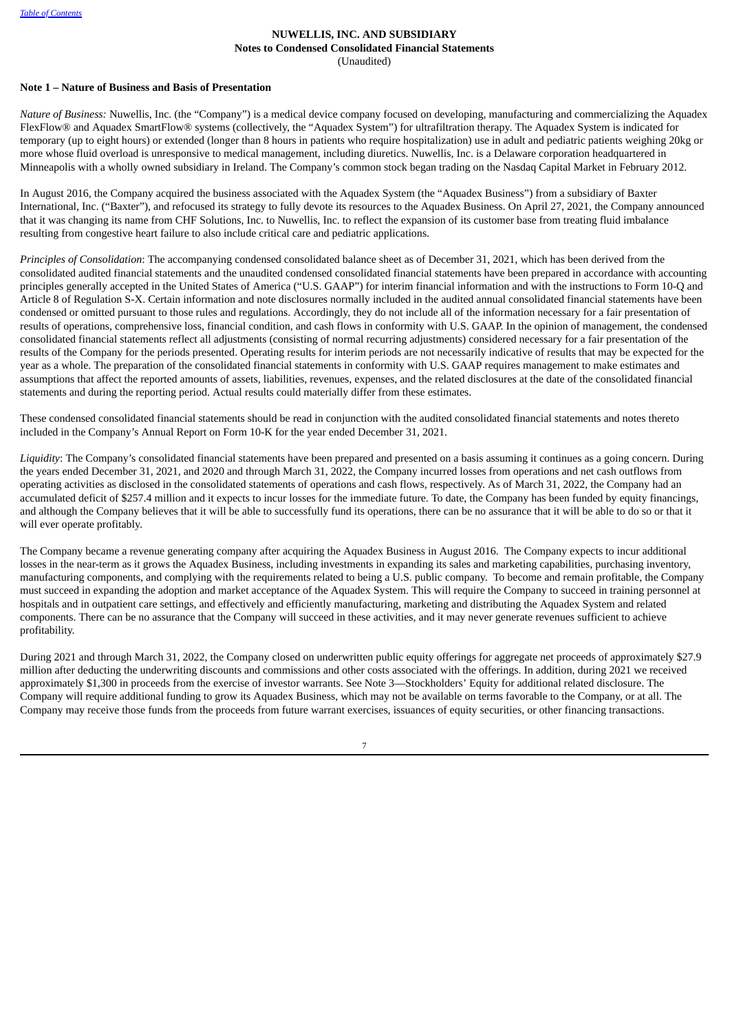# **NUWELLIS, INC. AND SUBSIDIARY Notes to Condensed Consolidated Financial Statements**

(Unaudited)

# <span id="page-6-0"></span>**Note 1 – Nature of Business and Basis of Presentation**

*Nature of Business:* Nuwellis, Inc. (the "Company") is a medical device company focused on developing, manufacturing and commercializing the Aquadex FlexFlow® and Aquadex SmartFlow® systems (collectively, the "Aquadex System") for ultrafiltration therapy. The Aquadex System is indicated for temporary (up to eight hours) or extended (longer than 8 hours in patients who require hospitalization) use in adult and pediatric patients weighing 20kg or more whose fluid overload is unresponsive to medical management, including diuretics. Nuwellis, Inc. is a Delaware corporation headquartered in Minneapolis with a wholly owned subsidiary in Ireland. The Company's common stock began trading on the Nasdaq Capital Market in February 2012.

In August 2016, the Company acquired the business associated with the Aquadex System (the "Aquadex Business") from a subsidiary of Baxter International, Inc. ("Baxter"), and refocused its strategy to fully devote its resources to the Aquadex Business. On April 27, 2021, the Company announced that it was changing its name from CHF Solutions, Inc. to Nuwellis, Inc. to reflect the expansion of its customer base from treating fluid imbalance resulting from congestive heart failure to also include critical care and pediatric applications.

*Principles of Consolidation*: The accompanying condensed consolidated balance sheet as of December 31, 2021, which has been derived from the consolidated audited financial statements and the unaudited condensed consolidated financial statements have been prepared in accordance with accounting principles generally accepted in the United States of America ("U.S. GAAP") for interim financial information and with the instructions to Form 10-Q and Article 8 of Regulation S-X. Certain information and note disclosures normally included in the audited annual consolidated financial statements have been condensed or omitted pursuant to those rules and regulations. Accordingly, they do not include all of the information necessary for a fair presentation of results of operations, comprehensive loss, financial condition, and cash flows in conformity with U.S. GAAP. In the opinion of management, the condensed consolidated financial statements reflect all adjustments (consisting of normal recurring adjustments) considered necessary for a fair presentation of the results of the Company for the periods presented. Operating results for interim periods are not necessarily indicative of results that may be expected for the year as a whole. The preparation of the consolidated financial statements in conformity with U.S. GAAP requires management to make estimates and assumptions that affect the reported amounts of assets, liabilities, revenues, expenses, and the related disclosures at the date of the consolidated financial statements and during the reporting period. Actual results could materially differ from these estimates.

These condensed consolidated financial statements should be read in conjunction with the audited consolidated financial statements and notes thereto included in the Company's Annual Report on Form 10-K for the year ended December 31, 2021.

*Liquidity*: The Company's consolidated financial statements have been prepared and presented on a basis assuming it continues as a going concern. During the years ended December 31, 2021, and 2020 and through March 31, 2022, the Company incurred losses from operations and net cash outflows from operating activities as disclosed in the consolidated statements of operations and cash flows, respectively. As of March 31, 2022, the Company had an accumulated deficit of \$257.4 million and it expects to incur losses for the immediate future. To date, the Company has been funded by equity financings, and although the Company believes that it will be able to successfully fund its operations, there can be no assurance that it will be able to do so or that it will ever operate profitably.

The Company became a revenue generating company after acquiring the Aquadex Business in August 2016. The Company expects to incur additional losses in the near-term as it grows the Aquadex Business, including investments in expanding its sales and marketing capabilities, purchasing inventory, manufacturing components, and complying with the requirements related to being a U.S. public company. To become and remain profitable, the Company must succeed in expanding the adoption and market acceptance of the Aquadex System. This will require the Company to succeed in training personnel at hospitals and in outpatient care settings, and effectively and efficiently manufacturing, marketing and distributing the Aquadex System and related components. There can be no assurance that the Company will succeed in these activities, and it may never generate revenues sufficient to achieve profitability.

During 2021 and through March 31, 2022, the Company closed on underwritten public equity offerings for aggregate net proceeds of approximately \$27.9 million after deducting the underwriting discounts and commissions and other costs associated with the offerings. In addition, during 2021 we received approximately \$1,300 in proceeds from the exercise of investor warrants. See Note 3—Stockholders' Equity for additional related disclosure. The Company will require additional funding to grow its Aquadex Business, which may not be available on terms favorable to the Company, or at all. The Company may receive those funds from the proceeds from future warrant exercises, issuances of equity securities, or other financing transactions.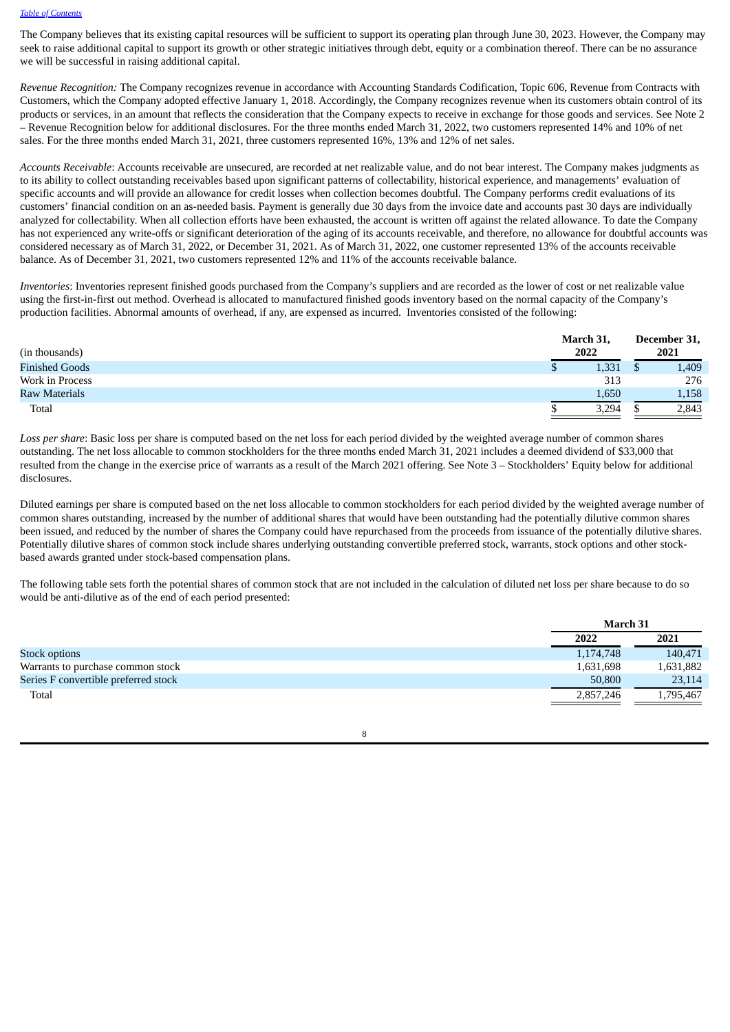The Company believes that its existing capital resources will be sufficient to support its operating plan through June 30, 2023. However, the Company may seek to raise additional capital to support its growth or other strategic initiatives through debt, equity or a combination thereof. There can be no assurance we will be successful in raising additional capital.

*Revenue Recognition:* The Company recognizes revenue in accordance with Accounting Standards Codification, Topic 606, Revenue from Contracts with Customers, which the Company adopted effective January 1, 2018. Accordingly, the Company recognizes revenue when its customers obtain control of its products or services, in an amount that reflects the consideration that the Company expects to receive in exchange for those goods and services. See Note 2 – Revenue Recognition below for additional disclosures. For the three months ended March 31, 2022, two customers represented 14% and 10% of net sales. For the three months ended March 31, 2021, three customers represented 16%, 13% and 12% of net sales.

*Accounts Receivable*: Accounts receivable are unsecured, are recorded at net realizable value, and do not bear interest. The Company makes judgments as to its ability to collect outstanding receivables based upon significant patterns of collectability, historical experience, and managements' evaluation of specific accounts and will provide an allowance for credit losses when collection becomes doubtful. The Company performs credit evaluations of its customers' financial condition on an as-needed basis. Payment is generally due 30 days from the invoice date and accounts past 30 days are individually analyzed for collectability. When all collection efforts have been exhausted, the account is written off against the related allowance. To date the Company has not experienced any write-offs or significant deterioration of the aging of its accounts receivable, and therefore, no allowance for doubtful accounts was considered necessary as of March 31, 2022, or December 31, 2021. As of March 31, 2022, one customer represented 13% of the accounts receivable balance. As of December 31, 2021, two customers represented 12% and 11% of the accounts receivable balance.

*Inventories*: Inventories represent finished goods purchased from the Company's suppliers and are recorded as the lower of cost or net realizable value using the first-in-first out method. Overhead is allocated to manufactured finished goods inventory based on the normal capacity of the Company's production facilities. Abnormal amounts of overhead, if any, are expensed as incurred. Inventories consisted of the following:

| (in thousands)        | March 31,<br>2022 | December 31,<br>2021 |
|-----------------------|-------------------|----------------------|
|                       |                   |                      |
| <b>Finished Goods</b> | 1,331             | 1,409                |
| Work in Process       | 313               | 276                  |
| Raw Materials         | 1,650             | 1,158                |
| Total                 | 3,294             | 2,843                |

*Loss per share*: Basic loss per share is computed based on the net loss for each period divided by the weighted average number of common shares outstanding. The net loss allocable to common stockholders for the three months ended March 31, 2021 includes a deemed dividend of \$33,000 that resulted from the change in the exercise price of warrants as a result of the March 2021 offering. See Note 3 – Stockholders' Equity below for additional disclosures.

Diluted earnings per share is computed based on the net loss allocable to common stockholders for each period divided by the weighted average number of common shares outstanding, increased by the number of additional shares that would have been outstanding had the potentially dilutive common shares been issued, and reduced by the number of shares the Company could have repurchased from the proceeds from issuance of the potentially dilutive shares. Potentially dilutive shares of common stock include shares underlying outstanding convertible preferred stock, warrants, stock options and other stockbased awards granted under stock-based compensation plans.

The following table sets forth the potential shares of common stock that are not included in the calculation of diluted net loss per share because to do so would be anti-dilutive as of the end of each period presented:

|                                      | March 31  |           |
|--------------------------------------|-----------|-----------|
|                                      | 2022      | 2021      |
| Stock options                        | 1,174,748 | 140,471   |
| Warrants to purchase common stock    | 1,631,698 | 1,631,882 |
| Series F convertible preferred stock | 50,800    | 23.114    |
| Total                                | 2,857,246 | 1,795,467 |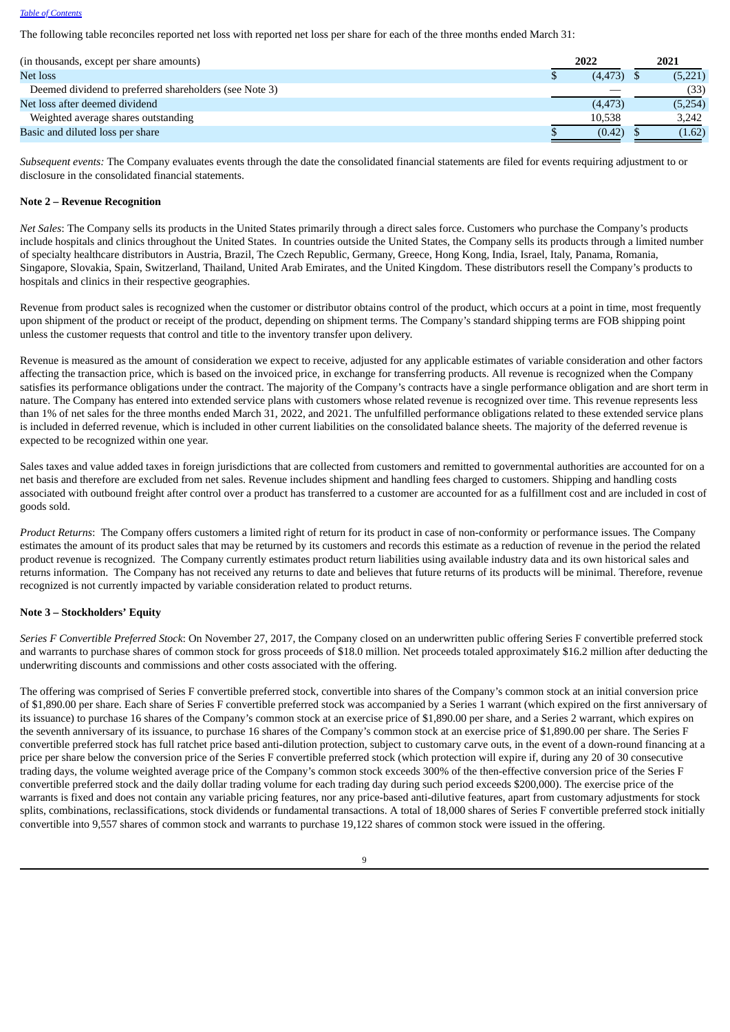#### *Table of [Contents](#page-1-0)*

The following table reconciles reported net loss with reported net loss per share for each of the three months ended March 31:

| (in thousands, except per share amounts)               |  | 2022     |  |         |  |  |  |  |  | 2021 |
|--------------------------------------------------------|--|----------|--|---------|--|--|--|--|--|------|
| Net loss                                               |  | (4, 473) |  | (5,221) |  |  |  |  |  |      |
| Deemed dividend to preferred shareholders (see Note 3) |  |          |  | (33)    |  |  |  |  |  |      |
| Net loss after deemed dividend                         |  | (4, 473) |  | (5,254) |  |  |  |  |  |      |
| Weighted average shares outstanding                    |  | 10.538   |  | 3.242   |  |  |  |  |  |      |
| Basic and diluted loss per share                       |  | (0.42)   |  | (1.62)  |  |  |  |  |  |      |

*Subsequent events:* The Company evaluates events through the date the consolidated financial statements are filed for events requiring adjustment to or disclosure in the consolidated financial statements.

#### **Note 2 – Revenue Recognition**

*Net Sales*: The Company sells its products in the United States primarily through a direct sales force. Customers who purchase the Company's products include hospitals and clinics throughout the United States. In countries outside the United States, the Company sells its products through a limited number of specialty healthcare distributors in Austria, Brazil, The Czech Republic, Germany, Greece, Hong Kong, India, Israel, Italy, Panama, Romania, Singapore, Slovakia, Spain, Switzerland, Thailand, United Arab Emirates, and the United Kingdom. These distributors resell the Company's products to hospitals and clinics in their respective geographies.

Revenue from product sales is recognized when the customer or distributor obtains control of the product, which occurs at a point in time, most frequently upon shipment of the product or receipt of the product, depending on shipment terms. The Company's standard shipping terms are FOB shipping point unless the customer requests that control and title to the inventory transfer upon delivery.

Revenue is measured as the amount of consideration we expect to receive, adjusted for any applicable estimates of variable consideration and other factors affecting the transaction price, which is based on the invoiced price, in exchange for transferring products. All revenue is recognized when the Company satisfies its performance obligations under the contract. The majority of the Company's contracts have a single performance obligation and are short term in nature. The Company has entered into extended service plans with customers whose related revenue is recognized over time. This revenue represents less than 1% of net sales for the three months ended March 31, 2022, and 2021. The unfulfilled performance obligations related to these extended service plans is included in deferred revenue, which is included in other current liabilities on the consolidated balance sheets. The majority of the deferred revenue is expected to be recognized within one year.

Sales taxes and value added taxes in foreign jurisdictions that are collected from customers and remitted to governmental authorities are accounted for on a net basis and therefore are excluded from net sales. Revenue includes shipment and handling fees charged to customers. Shipping and handling costs associated with outbound freight after control over a product has transferred to a customer are accounted for as a fulfillment cost and are included in cost of goods sold.

*Product Returns*: The Company offers customers a limited right of return for its product in case of non-conformity or performance issues. The Company estimates the amount of its product sales that may be returned by its customers and records this estimate as a reduction of revenue in the period the related product revenue is recognized. The Company currently estimates product return liabilities using available industry data and its own historical sales and returns information. The Company has not received any returns to date and believes that future returns of its products will be minimal. Therefore, revenue recognized is not currently impacted by variable consideration related to product returns.

# **Note 3 – Stockholders' Equity**

*Series F Convertible Preferred Stock*: On November 27, 2017, the Company closed on an underwritten public offering Series F convertible preferred stock and warrants to purchase shares of common stock for gross proceeds of \$18.0 million. Net proceeds totaled approximately \$16.2 million after deducting the underwriting discounts and commissions and other costs associated with the offering.

The offering was comprised of Series F convertible preferred stock, convertible into shares of the Company's common stock at an initial conversion price of \$1,890.00 per share. Each share of Series F convertible preferred stock was accompanied by a Series 1 warrant (which expired on the first anniversary of its issuance) to purchase 16 shares of the Company's common stock at an exercise price of \$1,890.00 per share, and a Series 2 warrant, which expires on the seventh anniversary of its issuance, to purchase 16 shares of the Company's common stock at an exercise price of \$1,890.00 per share. The Series F convertible preferred stock has full ratchet price based anti-dilution protection, subject to customary carve outs, in the event of a down-round financing at a price per share below the conversion price of the Series F convertible preferred stock (which protection will expire if, during any 20 of 30 consecutive trading days, the volume weighted average price of the Company's common stock exceeds 300% of the then-effective conversion price of the Series F convertible preferred stock and the daily dollar trading volume for each trading day during such period exceeds \$200,000). The exercise price of the warrants is fixed and does not contain any variable pricing features, nor any price-based anti-dilutive features, apart from customary adjustments for stock splits, combinations, reclassifications, stock dividends or fundamental transactions. A total of 18,000 shares of Series F convertible preferred stock initially convertible into 9,557 shares of common stock and warrants to purchase 19,122 shares of common stock were issued in the offering.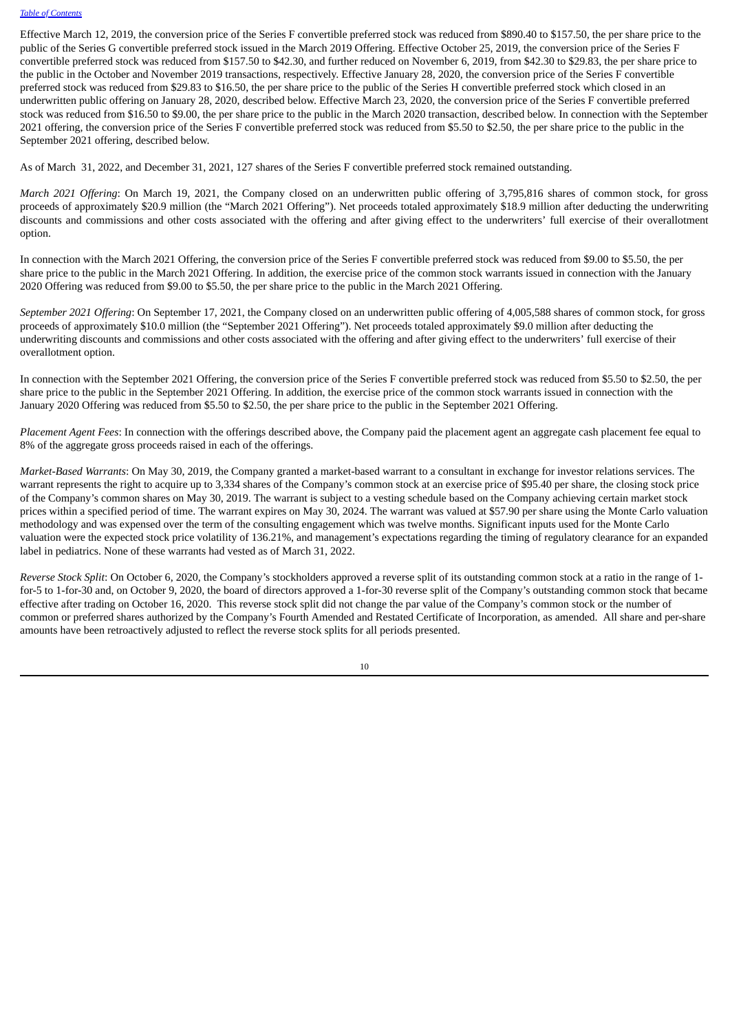Effective March 12, 2019, the conversion price of the Series F convertible preferred stock was reduced from \$890.40 to \$157.50, the per share price to the public of the Series G convertible preferred stock issued in the March 2019 Offering. Effective October 25, 2019, the conversion price of the Series F convertible preferred stock was reduced from \$157.50 to \$42.30, and further reduced on November 6, 2019, from \$42.30 to \$29.83, the per share price to the public in the October and November 2019 transactions, respectively. Effective January 28, 2020, the conversion price of the Series F convertible preferred stock was reduced from \$29.83 to \$16.50, the per share price to the public of the Series H convertible preferred stock which closed in an underwritten public offering on January 28, 2020, described below. Effective March 23, 2020, the conversion price of the Series F convertible preferred stock was reduced from \$16.50 to \$9.00, the per share price to the public in the March 2020 transaction, described below. In connection with the September 2021 offering, the conversion price of the Series F convertible preferred stock was reduced from \$5.50 to \$2.50, the per share price to the public in the September 2021 offering, described below.

As of March 31, 2022, and December 31, 2021, 127 shares of the Series F convertible preferred stock remained outstanding.

*March 2021 Offering*: On March 19, 2021, the Company closed on an underwritten public offering of 3,795,816 shares of common stock, for gross proceeds of approximately \$20.9 million (the "March 2021 Offering"). Net proceeds totaled approximately \$18.9 million after deducting the underwriting discounts and commissions and other costs associated with the offering and after giving effect to the underwriters' full exercise of their overallotment option.

In connection with the March 2021 Offering, the conversion price of the Series F convertible preferred stock was reduced from \$9.00 to \$5.50, the per share price to the public in the March 2021 Offering. In addition, the exercise price of the common stock warrants issued in connection with the January 2020 Offering was reduced from \$9.00 to \$5.50, the per share price to the public in the March 2021 Offering.

*September 2021 Offering*: On September 17, 2021, the Company closed on an underwritten public offering of 4,005,588 shares of common stock, for gross proceeds of approximately \$10.0 million (the "September 2021 Offering"). Net proceeds totaled approximately \$9.0 million after deducting the underwriting discounts and commissions and other costs associated with the offering and after giving effect to the underwriters' full exercise of their overallotment option.

In connection with the September 2021 Offering, the conversion price of the Series F convertible preferred stock was reduced from \$5.50 to \$2.50, the per share price to the public in the September 2021 Offering. In addition, the exercise price of the common stock warrants issued in connection with the January 2020 Offering was reduced from \$5.50 to \$2.50, the per share price to the public in the September 2021 Offering.

*Placement Agent Fees*: In connection with the offerings described above, the Company paid the placement agent an aggregate cash placement fee equal to 8% of the aggregate gross proceeds raised in each of the offerings.

*Market-Based Warrants*: On May 30, 2019, the Company granted a market-based warrant to a consultant in exchange for investor relations services. The warrant represents the right to acquire up to 3,334 shares of the Company's common stock at an exercise price of \$95.40 per share, the closing stock price of the Company's common shares on May 30, 2019. The warrant is subject to a vesting schedule based on the Company achieving certain market stock prices within a specified period of time. The warrant expires on May 30, 2024. The warrant was valued at \$57.90 per share using the Monte Carlo valuation methodology and was expensed over the term of the consulting engagement which was twelve months. Significant inputs used for the Monte Carlo valuation were the expected stock price volatility of 136.21%, and management's expectations regarding the timing of regulatory clearance for an expanded label in pediatrics. None of these warrants had vested as of March 31, 2022.

*Reverse Stock Split*: On October 6, 2020, the Company's stockholders approved a reverse split of its outstanding common stock at a ratio in the range of 1 for-5 to 1-for-30 and, on October 9, 2020, the board of directors approved a 1-for-30 reverse split of the Company's outstanding common stock that became effective after trading on October 16, 2020. This reverse stock split did not change the par value of the Company's common stock or the number of common or preferred shares authorized by the Company's Fourth Amended and Restated Certificate of Incorporation, as amended. All share and per-share amounts have been retroactively adjusted to reflect the reverse stock splits for all periods presented.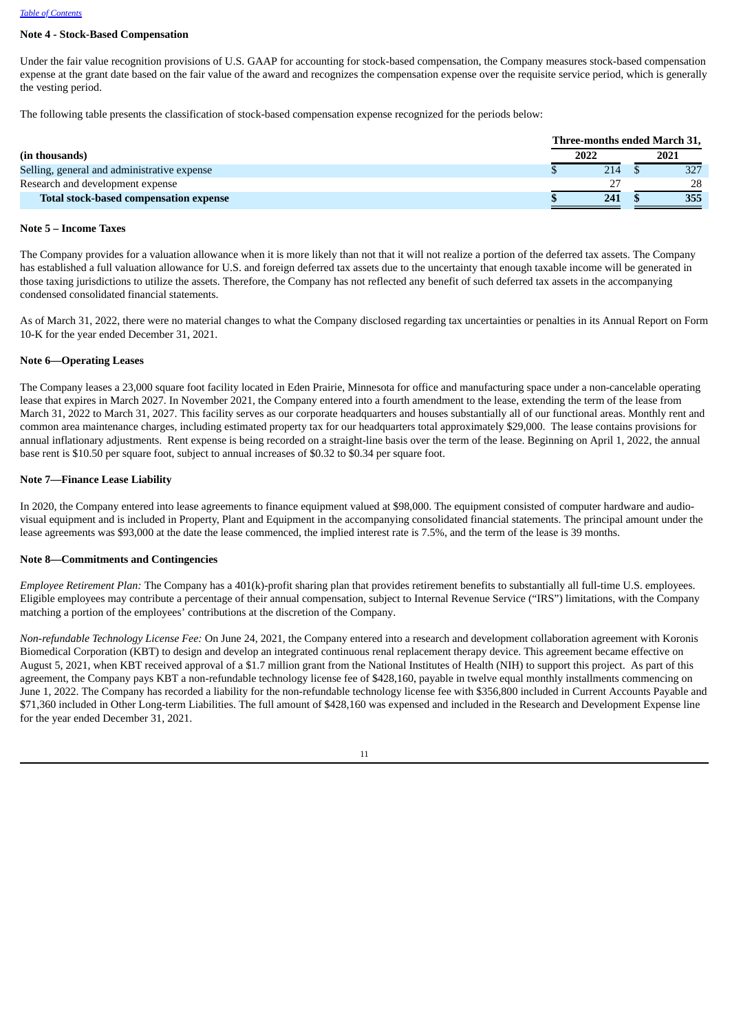# **Note 4 - Stock-Based Compensation**

Under the fair value recognition provisions of U.S. GAAP for accounting for stock-based compensation, the Company measures stock-based compensation expense at the grant date based on the fair value of the award and recognizes the compensation expense over the requisite service period, which is generally the vesting period.

The following table presents the classification of stock-based compensation expense recognized for the periods below:

|                                               | Three-months ended March 31, |      |  |      |
|-----------------------------------------------|------------------------------|------|--|------|
| (in thousands)                                |                              | 2022 |  | 2021 |
| Selling, general and administrative expense   |                              | 214  |  | 327  |
| Research and development expense              |                              |      |  | 28   |
| <b>Total stock-based compensation expense</b> |                              | 241  |  | 355  |

#### **Note 5 – Income Taxes**

The Company provides for a valuation allowance when it is more likely than not that it will not realize a portion of the deferred tax assets. The Company has established a full valuation allowance for U.S. and foreign deferred tax assets due to the uncertainty that enough taxable income will be generated in those taxing jurisdictions to utilize the assets. Therefore, the Company has not reflected any benefit of such deferred tax assets in the accompanying condensed consolidated financial statements.

As of March 31, 2022, there were no material changes to what the Company disclosed regarding tax uncertainties or penalties in its Annual Report on Form 10-K for the year ended December 31, 2021.

#### **Note 6—Operating Leases**

The Company leases a 23,000 square foot facility located in Eden Prairie, Minnesota for office and manufacturing space under a non-cancelable operating lease that expires in March 2027. In November 2021, the Company entered into a fourth amendment to the lease, extending the term of the lease from March 31, 2022 to March 31, 2027. This facility serves as our corporate headquarters and houses substantially all of our functional areas. Monthly rent and common area maintenance charges, including estimated property tax for our headquarters total approximately \$29,000. The lease contains provisions for annual inflationary adjustments. Rent expense is being recorded on a straight-line basis over the term of the lease. Beginning on April 1, 2022, the annual base rent is \$10.50 per square foot, subject to annual increases of \$0.32 to \$0.34 per square foot.

#### **Note 7—Finance Lease Liability**

In 2020, the Company entered into lease agreements to finance equipment valued at \$98,000. The equipment consisted of computer hardware and audiovisual equipment and is included in Property, Plant and Equipment in the accompanying consolidated financial statements. The principal amount under the lease agreements was \$93,000 at the date the lease commenced, the implied interest rate is 7.5%, and the term of the lease is 39 months.

#### **Note 8—Commitments and Contingencies**

*Employee Retirement Plan:* The Company has a 401(k)-profit sharing plan that provides retirement benefits to substantially all full-time U.S. employees. Eligible employees may contribute a percentage of their annual compensation, subject to Internal Revenue Service ("IRS") limitations, with the Company matching a portion of the employees' contributions at the discretion of the Company.

*Non-refundable Technology License Fee:* On June 24, 2021, the Company entered into a research and development collaboration agreement with Koronis Biomedical Corporation (KBT) to design and develop an integrated continuous renal replacement therapy device. This agreement became effective on August 5, 2021, when KBT received approval of a \$1.7 million grant from the National Institutes of Health (NIH) to support this project. As part of this agreement, the Company pays KBT a non-refundable technology license fee of \$428,160, payable in twelve equal monthly installments commencing on June 1, 2022. The Company has recorded a liability for the non-refundable technology license fee with \$356,800 included in Current Accounts Payable and \$71,360 included in Other Long-term Liabilities. The full amount of \$428,160 was expensed and included in the Research and Development Expense line for the year ended December 31, 2021.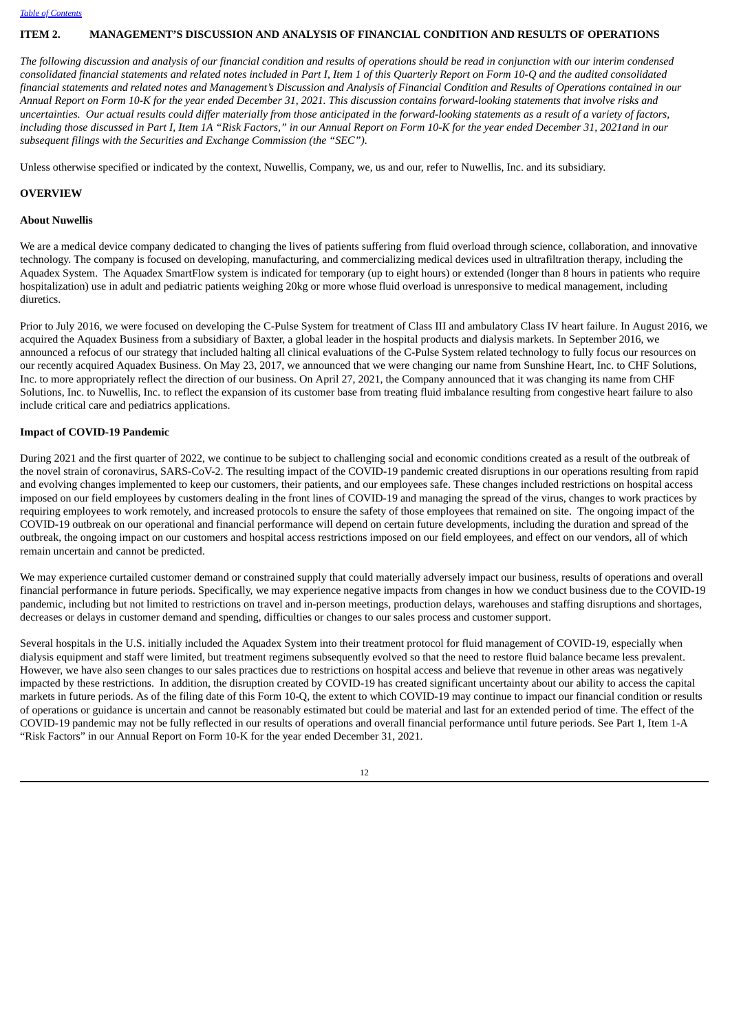# <span id="page-11-0"></span>**ITEM 2. MANAGEMENT'S DISCUSSION AND ANALYSIS OF FINANCIAL CONDITION AND RESULTS OF OPERATIONS**

The following discussion and analysis of our financial condition and results of operations should be read in conjunction with our interim condensed consolidated financial statements and related notes included in Part I, Item 1 of this Quarterly Report on Form 10-Q and the audited consolidated financial statements and related notes and Management's Discussion and Analysis of Financial Condition and Results of Operations contained in our Annual Report on Form 10-K for the year ended December 31, 2021. This discussion contains forward-looking statements that involve risks and uncertainties. Our actual results could differ materially from those anticipated in the forward-looking statements as a result of a variety of factors, including those discussed in Part I, Item 1A "Risk Factors," in our Annual Report on Form 10-K for the year ended December 31, 2021and in our *subsequent filings with the Securities and Exchange Commission (the "SEC").*

Unless otherwise specified or indicated by the context, Nuwellis, Company, we, us and our, refer to Nuwellis, Inc. and its subsidiary.

# **OVERVIEW**

# **About Nuwellis**

We are a medical device company dedicated to changing the lives of patients suffering from fluid overload through science, collaboration, and innovative technology. The company is focused on developing, manufacturing, and commercializing medical devices used in ultrafiltration therapy, including the Aquadex System. The Aquadex SmartFlow system is indicated for temporary (up to eight hours) or extended (longer than 8 hours in patients who require hospitalization) use in adult and pediatric patients weighing 20kg or more whose fluid overload is unresponsive to medical management, including diuretics.

Prior to July 2016, we were focused on developing the C-Pulse System for treatment of Class III and ambulatory Class IV heart failure. In August 2016, we acquired the Aquadex Business from a subsidiary of Baxter, a global leader in the hospital products and dialysis markets. In September 2016, we announced a refocus of our strategy that included halting all clinical evaluations of the C-Pulse System related technology to fully focus our resources on our recently acquired Aquadex Business. On May 23, 2017, we announced that we were changing our name from Sunshine Heart, Inc. to CHF Solutions, Inc. to more appropriately reflect the direction of our business. On April 27, 2021, the Company announced that it was changing its name from CHF Solutions, Inc. to Nuwellis, Inc. to reflect the expansion of its customer base from treating fluid imbalance resulting from congestive heart failure to also include critical care and pediatrics applications.

# **Impact of COVID-19 Pandemic**

During 2021 and the first quarter of 2022, we continue to be subject to challenging social and economic conditions created as a result of the outbreak of the novel strain of coronavirus, SARS-CoV-2. The resulting impact of the COVID-19 pandemic created disruptions in our operations resulting from rapid and evolving changes implemented to keep our customers, their patients, and our employees safe. These changes included restrictions on hospital access imposed on our field employees by customers dealing in the front lines of COVID-19 and managing the spread of the virus, changes to work practices by requiring employees to work remotely, and increased protocols to ensure the safety of those employees that remained on site. The ongoing impact of the COVID-19 outbreak on our operational and financial performance will depend on certain future developments, including the duration and spread of the outbreak, the ongoing impact on our customers and hospital access restrictions imposed on our field employees, and effect on our vendors, all of which remain uncertain and cannot be predicted.

We may experience curtailed customer demand or constrained supply that could materially adversely impact our business, results of operations and overall financial performance in future periods. Specifically, we may experience negative impacts from changes in how we conduct business due to the COVID-19 pandemic, including but not limited to restrictions on travel and in-person meetings, production delays, warehouses and staffing disruptions and shortages, decreases or delays in customer demand and spending, difficulties or changes to our sales process and customer support.

Several hospitals in the U.S. initially included the Aquadex System into their treatment protocol for fluid management of COVID-19, especially when dialysis equipment and staff were limited, but treatment regimens subsequently evolved so that the need to restore fluid balance became less prevalent. However, we have also seen changes to our sales practices due to restrictions on hospital access and believe that revenue in other areas was negatively impacted by these restrictions. In addition, the disruption created by COVID-19 has created significant uncertainty about our ability to access the capital markets in future periods. As of the filing date of this Form 10-Q, the extent to which COVID-19 may continue to impact our financial condition or results of operations or guidance is uncertain and cannot be reasonably estimated but could be material and last for an extended period of time. The effect of the COVID-19 pandemic may not be fully reflected in our results of operations and overall financial performance until future periods. See Part 1, Item 1-A "Risk Factors" in our Annual Report on Form 10-K for the year ended December 31, 2021.

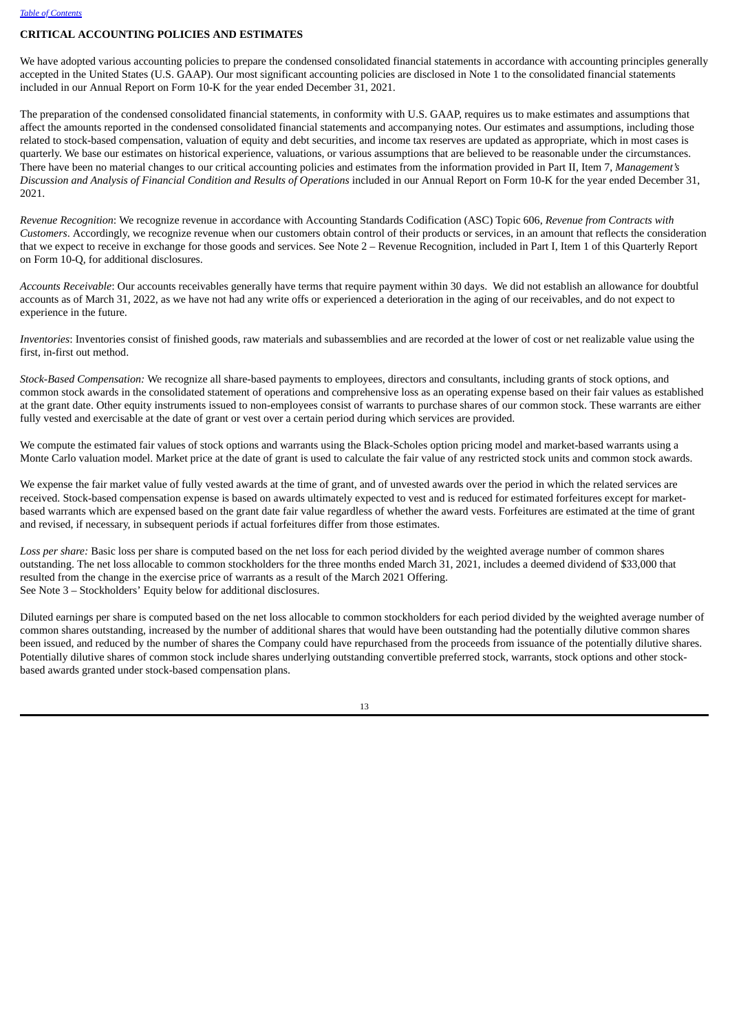# **CRITICAL ACCOUNTING POLICIES AND ESTIMATES**

We have adopted various accounting policies to prepare the condensed consolidated financial statements in accordance with accounting principles generally accepted in the United States (U.S. GAAP). Our most significant accounting policies are disclosed in Note 1 to the consolidated financial statements included in our Annual Report on Form 10-K for the year ended December 31, 2021.

The preparation of the condensed consolidated financial statements, in conformity with U.S. GAAP, requires us to make estimates and assumptions that affect the amounts reported in the condensed consolidated financial statements and accompanying notes. Our estimates and assumptions, including those related to stock-based compensation, valuation of equity and debt securities, and income tax reserves are updated as appropriate, which in most cases is quarterly. We base our estimates on historical experience, valuations, or various assumptions that are believed to be reasonable under the circumstances. There have been no material changes to our critical accounting policies and estimates from the information provided in Part II, Item 7, *Management's Discussion and Analysis of Financial Condition and Results of Operations* included in our Annual Report on Form 10-K for the year ended December 31, 2021.

*Revenue Recognition*: We recognize revenue in accordance with Accounting Standards Codification (ASC) Topic 606, *Revenue from Contracts with Customers*. Accordingly, we recognize revenue when our customers obtain control of their products or services, in an amount that reflects the consideration that we expect to receive in exchange for those goods and services. See Note 2 – Revenue Recognition, included in Part I, Item 1 of this Quarterly Report on Form 10-Q, for additional disclosures.

*Accounts Receivable*: Our accounts receivables generally have terms that require payment within 30 days. We did not establish an allowance for doubtful accounts as of March 31, 2022, as we have not had any write offs or experienced a deterioration in the aging of our receivables, and do not expect to experience in the future.

*Inventories*: Inventories consist of finished goods, raw materials and subassemblies and are recorded at the lower of cost or net realizable value using the first, in-first out method.

*Stock-Based Compensation:* We recognize all share-based payments to employees, directors and consultants, including grants of stock options, and common stock awards in the consolidated statement of operations and comprehensive loss as an operating expense based on their fair values as established at the grant date. Other equity instruments issued to non-employees consist of warrants to purchase shares of our common stock. These warrants are either fully vested and exercisable at the date of grant or vest over a certain period during which services are provided.

We compute the estimated fair values of stock options and warrants using the Black-Scholes option pricing model and market-based warrants using a Monte Carlo valuation model. Market price at the date of grant is used to calculate the fair value of any restricted stock units and common stock awards.

We expense the fair market value of fully vested awards at the time of grant, and of unvested awards over the period in which the related services are received. Stock-based compensation expense is based on awards ultimately expected to vest and is reduced for estimated forfeitures except for marketbased warrants which are expensed based on the grant date fair value regardless of whether the award vests. Forfeitures are estimated at the time of grant and revised, if necessary, in subsequent periods if actual forfeitures differ from those estimates.

*Loss per share:* Basic loss per share is computed based on the net loss for each period divided by the weighted average number of common shares outstanding. The net loss allocable to common stockholders for the three months ended March 31, 2021, includes a deemed dividend of \$33,000 that resulted from the change in the exercise price of warrants as a result of the March 2021 Offering. See Note 3 – Stockholders' Equity below for additional disclosures.

Diluted earnings per share is computed based on the net loss allocable to common stockholders for each period divided by the weighted average number of common shares outstanding, increased by the number of additional shares that would have been outstanding had the potentially dilutive common shares been issued, and reduced by the number of shares the Company could have repurchased from the proceeds from issuance of the potentially dilutive shares. Potentially dilutive shares of common stock include shares underlying outstanding convertible preferred stock, warrants, stock options and other stockbased awards granted under stock-based compensation plans.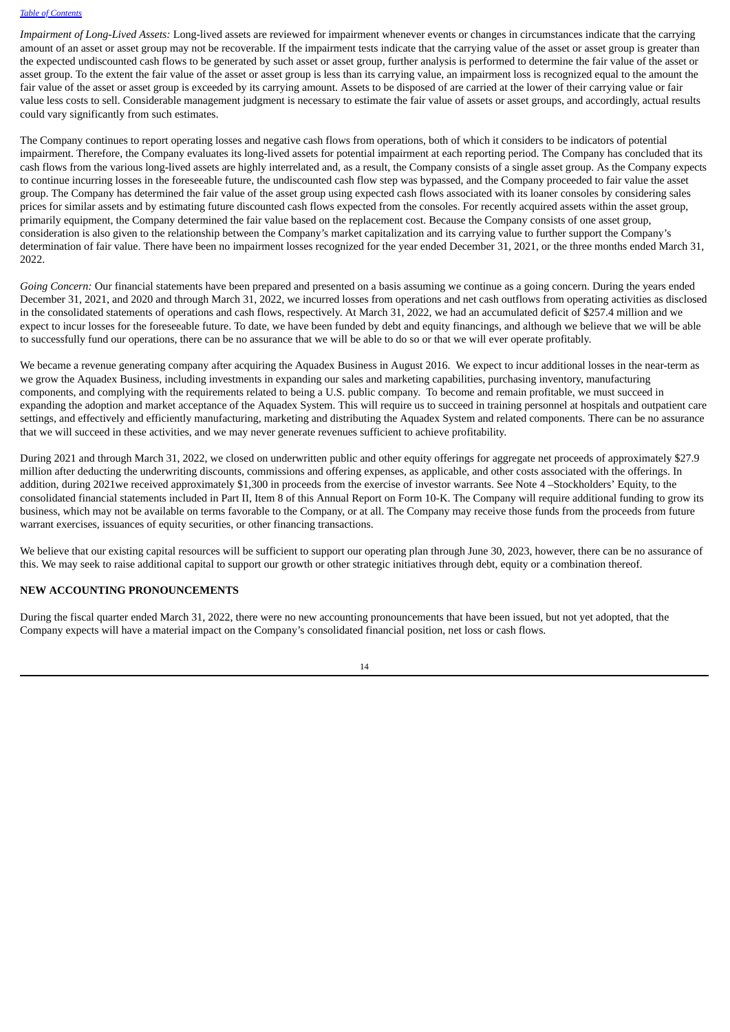#### *Table of [Contents](#page-1-0)*

*Impairment of Long-Lived Assets:* Long-lived assets are reviewed for impairment whenever events or changes in circumstances indicate that the carrying amount of an asset or asset group may not be recoverable. If the impairment tests indicate that the carrying value of the asset or asset group is greater than the expected undiscounted cash flows to be generated by such asset or asset group, further analysis is performed to determine the fair value of the asset or asset group. To the extent the fair value of the asset or asset group is less than its carrying value, an impairment loss is recognized equal to the amount the fair value of the asset or asset group is exceeded by its carrying amount. Assets to be disposed of are carried at the lower of their carrying value or fair value less costs to sell. Considerable management judgment is necessary to estimate the fair value of assets or asset groups, and accordingly, actual results could vary significantly from such estimates.

The Company continues to report operating losses and negative cash flows from operations, both of which it considers to be indicators of potential impairment. Therefore, the Company evaluates its long-lived assets for potential impairment at each reporting period. The Company has concluded that its cash flows from the various long-lived assets are highly interrelated and, as a result, the Company consists of a single asset group. As the Company expects to continue incurring losses in the foreseeable future, the undiscounted cash flow step was bypassed, and the Company proceeded to fair value the asset group. The Company has determined the fair value of the asset group using expected cash flows associated with its loaner consoles by considering sales prices for similar assets and by estimating future discounted cash flows expected from the consoles. For recently acquired assets within the asset group, primarily equipment, the Company determined the fair value based on the replacement cost. Because the Company consists of one asset group, consideration is also given to the relationship between the Company's market capitalization and its carrying value to further support the Company's determination of fair value. There have been no impairment losses recognized for the year ended December 31, 2021, or the three months ended March 31, 2022.

*Going Concern:* Our financial statements have been prepared and presented on a basis assuming we continue as a going concern. During the vears ended December 31, 2021, and 2020 and through March 31, 2022, we incurred losses from operations and net cash outflows from operating activities as disclosed in the consolidated statements of operations and cash flows, respectively. At March 31, 2022, we had an accumulated deficit of \$257.4 million and we expect to incur losses for the foreseeable future. To date, we have been funded by debt and equity financings, and although we believe that we will be able to successfully fund our operations, there can be no assurance that we will be able to do so or that we will ever operate profitably.

We became a revenue generating company after acquiring the Aquadex Business in August 2016. We expect to incur additional losses in the near-term as we grow the Aquadex Business, including investments in expanding our sales and marketing capabilities, purchasing inventory, manufacturing components, and complying with the requirements related to being a U.S. public company. To become and remain profitable, we must succeed in expanding the adoption and market acceptance of the Aquadex System. This will require us to succeed in training personnel at hospitals and outpatient care settings, and effectively and efficiently manufacturing, marketing and distributing the Aquadex System and related components. There can be no assurance that we will succeed in these activities, and we may never generate revenues sufficient to achieve profitability.

During 2021 and through March 31, 2022, we closed on underwritten public and other equity offerings for aggregate net proceeds of approximately \$27.9 million after deducting the underwriting discounts, commissions and offering expenses, as applicable, and other costs associated with the offerings. In addition, during 2021we received approximately \$1,300 in proceeds from the exercise of investor warrants. See Note 4 –Stockholders' Equity, to the consolidated financial statements included in Part II, Item 8 of this Annual Report on Form 10-K. The Company will require additional funding to grow its business, which may not be available on terms favorable to the Company, or at all. The Company may receive those funds from the proceeds from future warrant exercises, issuances of equity securities, or other financing transactions.

We believe that our existing capital resources will be sufficient to support our operating plan through June 30, 2023, however, there can be no assurance of this. We may seek to raise additional capital to support our growth or other strategic initiatives through debt, equity or a combination thereof.

# **NEW ACCOUNTING PRONOUNCEMENTS**

During the fiscal quarter ended March 31, 2022, there were no new accounting pronouncements that have been issued, but not yet adopted, that the Company expects will have a material impact on the Company's consolidated financial position, net loss or cash flows.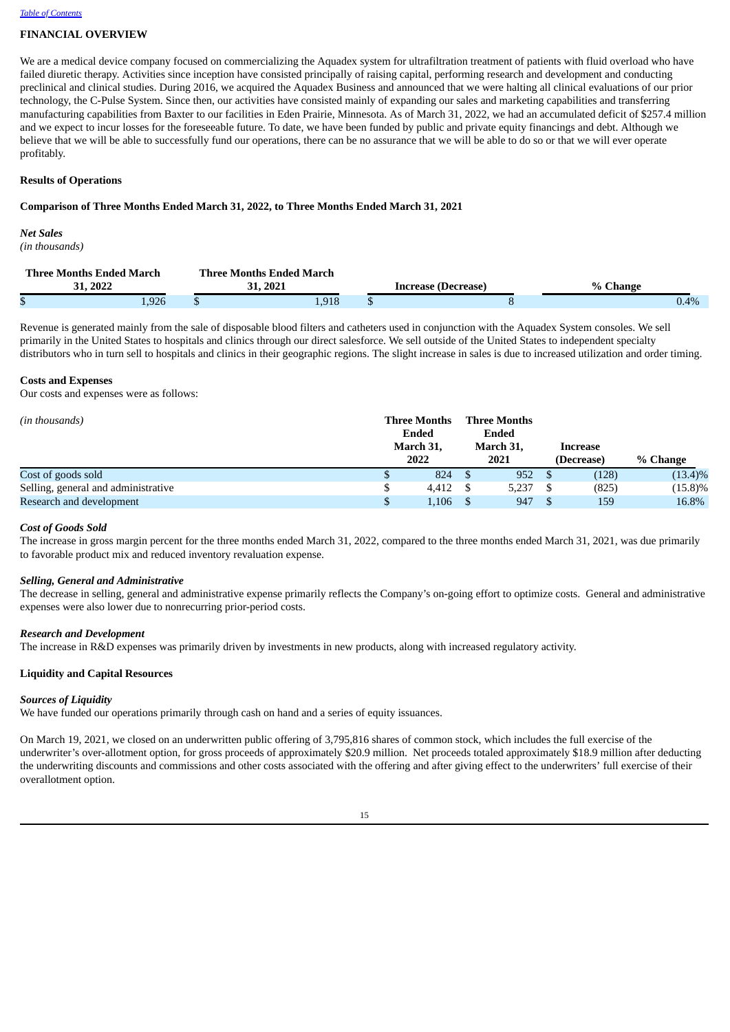# **FINANCIAL OVERVIEW**

We are a medical device company focused on commercializing the Aquadex system for ultrafiltration treatment of patients with fluid overload who have failed diuretic therapy. Activities since inception have consisted principally of raising capital, performing research and development and conducting preclinical and clinical studies. During 2016, we acquired the Aquadex Business and announced that we were halting all clinical evaluations of our prior technology, the C-Pulse System. Since then, our activities have consisted mainly of expanding our sales and marketing capabilities and transferring manufacturing capabilities from Baxter to our facilities in Eden Prairie, Minnesota. As of March 31, 2022, we had an accumulated deficit of \$257.4 million and we expect to incur losses for the foreseeable future. To date, we have been funded by public and private equity financings and debt. Although we believe that we will be able to successfully fund our operations, there can be no assurance that we will be able to do so or that we will ever operate profitably.

#### **Results of Operations**

# **Comparison of Three Months Ended March 31, 2022, to Three Months Ended March 31, 2021**

*Net Sales (in thousands)*

| <b>Three Months Ended March</b> |       | <b>Three Months Ended March</b> |                     |                |
|---------------------------------|-------|---------------------------------|---------------------|----------------|
| 31.                             | .2022 | 31. 2021                        | Increase (Decrease) | $\%$<br>Change |
|                                 | 1,926 | 1.918                           |                     | $0.4\%$        |

Revenue is generated mainly from the sale of disposable blood filters and catheters used in conjunction with the Aquadex System consoles. We sell primarily in the United States to hospitals and clinics through our direct salesforce. We sell outside of the United States to independent specialty distributors who in turn sell to hospitals and clinics in their geographic regions. The slight increase in sales is due to increased utilization and order timing.

#### **Costs and Expenses**

Our costs and expenses were as follows:

| (in thousands)                      | <b>Three Months</b><br>Ended<br>March 31, |       | Three Months<br>Ended<br>March 31, |       | Increase |            |            |
|-------------------------------------|-------------------------------------------|-------|------------------------------------|-------|----------|------------|------------|
|                                     |                                           | 2022  |                                    | 2021  |          | (Decrease) | % Change   |
| Cost of goods sold                  |                                           | 824   |                                    | 952   |          | (128)      | $(13.4)\%$ |
| Selling, general and administrative |                                           | 4.412 |                                    | 5,237 |          | (825)      | $(15.8)\%$ |
| Research and development            |                                           | 1,106 |                                    | 947   |          | 159        | 16.8%      |

#### *Cost of Goods Sold*

The increase in gross margin percent for the three months ended March 31, 2022, compared to the three months ended March 31, 2021, was due primarily to favorable product mix and reduced inventory revaluation expense.

#### *Selling, General and Administrative*

The decrease in selling, general and administrative expense primarily reflects the Company's on-going effort to optimize costs. General and administrative expenses were also lower due to nonrecurring prior-period costs.

#### *Research and Development*

The increase in R&D expenses was primarily driven by investments in new products, along with increased regulatory activity.

#### **Liquidity and Capital Resources**

#### *Sources of Liquidity*

We have funded our operations primarily through cash on hand and a series of equity issuances.

On March 19, 2021, we closed on an underwritten public offering of 3,795,816 shares of common stock, which includes the full exercise of the underwriter's over-allotment option, for gross proceeds of approximately \$20.9 million. Net proceeds totaled approximately \$18.9 million after deducting the underwriting discounts and commissions and other costs associated with the offering and after giving effect to the underwriters' full exercise of their overallotment option.

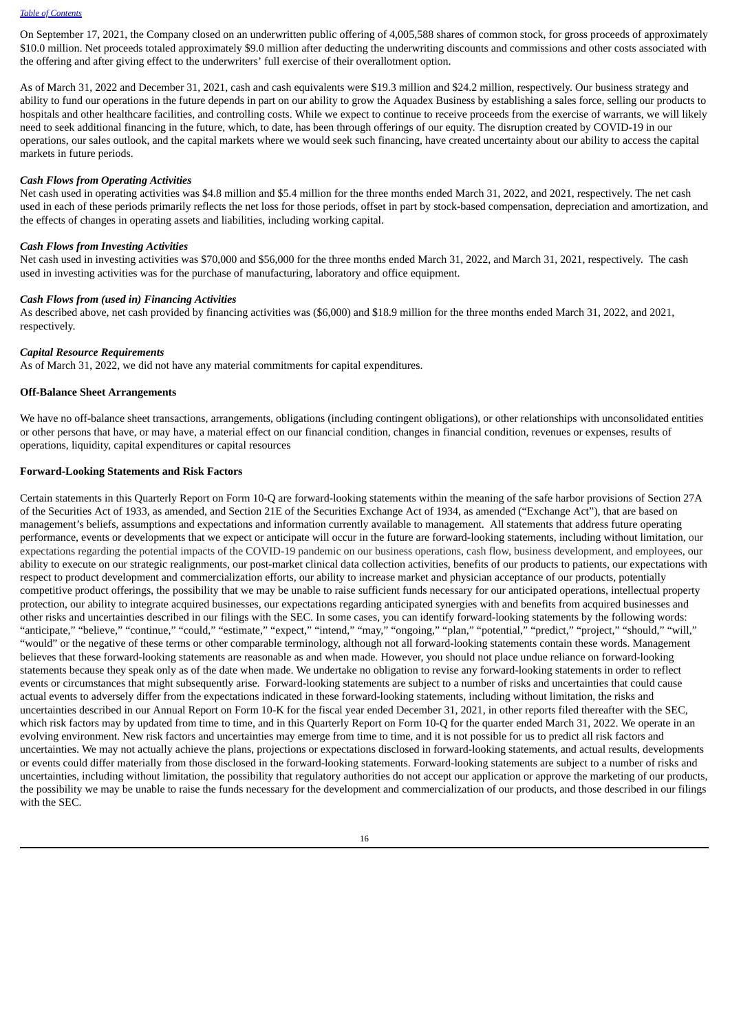On September 17, 2021, the Company closed on an underwritten public offering of 4,005,588 shares of common stock, for gross proceeds of approximately \$10.0 million. Net proceeds totaled approximately \$9.0 million after deducting the underwriting discounts and commissions and other costs associated with the offering and after giving effect to the underwriters' full exercise of their overallotment option.

As of March 31, 2022 and December 31, 2021, cash and cash equivalents were \$19.3 million and \$24.2 million, respectively. Our business strategy and ability to fund our operations in the future depends in part on our ability to grow the Aquadex Business by establishing a sales force, selling our products to hospitals and other healthcare facilities, and controlling costs. While we expect to continue to receive proceeds from the exercise of warrants, we will likely need to seek additional financing in the future, which, to date, has been through offerings of our equity. The disruption created by COVID-19 in our operations, our sales outlook, and the capital markets where we would seek such financing, have created uncertainty about our ability to access the capital markets in future periods.

# *Cash Flows from Operating Activities*

Net cash used in operating activities was \$4.8 million and \$5.4 million for the three months ended March 31, 2022, and 2021, respectively. The net cash used in each of these periods primarily reflects the net loss for those periods, offset in part by stock-based compensation, depreciation and amortization, and the effects of changes in operating assets and liabilities, including working capital.

#### *Cash Flows from Investing Activities*

Net cash used in investing activities was \$70,000 and \$56,000 for the three months ended March 31, 2022, and March 31, 2021, respectively. The cash used in investing activities was for the purchase of manufacturing, laboratory and office equipment.

#### *Cash Flows from (used in) Financing Activities*

As described above, net cash provided by financing activities was (\$6,000) and \$18.9 million for the three months ended March 31, 2022, and 2021, respectively.

# *Capital Resource Requirements*

As of March 31, 2022, we did not have any material commitments for capital expenditures.

# **Off-Balance Sheet Arrangements**

We have no off-balance sheet transactions, arrangements, obligations (including contingent obligations), or other relationships with unconsolidated entities or other persons that have, or may have, a material effect on our financial condition, changes in financial condition, revenues or expenses, results of operations, liquidity, capital expenditures or capital resources

#### **Forward-Looking Statements and Risk Factors**

Certain statements in this Quarterly Report on Form 10-Q are forward-looking statements within the meaning of the safe harbor provisions of Section 27A of the Securities Act of 1933, as amended, and Section 21E of the Securities Exchange Act of 1934, as amended ("Exchange Act"), that are based on management's beliefs, assumptions and expectations and information currently available to management. All statements that address future operating performance, events or developments that we expect or anticipate will occur in the future are forward-looking statements, including without limitation, our expectations regarding the potential impacts of the COVID-19 pandemic on our business operations, cash flow, business development, and employees, our ability to execute on our strategic realignments, our post-market clinical data collection activities, benefits of our products to patients, our expectations with respect to product development and commercialization efforts, our ability to increase market and physician acceptance of our products, potentially competitive product offerings, the possibility that we may be unable to raise sufficient funds necessary for our anticipated operations, intellectual property protection, our ability to integrate acquired businesses, our expectations regarding anticipated synergies with and benefits from acquired businesses and other risks and uncertainties described in our filings with the SEC. In some cases, you can identify forward-looking statements by the following words: "anticipate," "believe," "continue," "could," "estimate," "expect," "intend," "may," "ongoing," "plan," "potential," "predict," "project," "should," "will," "would" or the negative of these terms or other comparable terminology, although not all forward-looking statements contain these words. Management believes that these forward-looking statements are reasonable as and when made. However, you should not place undue reliance on forward-looking statements because they speak only as of the date when made. We undertake no obligation to revise any forward-looking statements in order to reflect events or circumstances that might subsequently arise. Forward-looking statements are subject to a number of risks and uncertainties that could cause actual events to adversely differ from the expectations indicated in these forward-looking statements, including without limitation, the risks and uncertainties described in our Annual Report on Form 10-K for the fiscal year ended December 31, 2021, in other reports filed thereafter with the SEC, which risk factors may by updated from time to time, and in this Quarterly Report on Form 10-Q for the quarter ended March 31, 2022. We operate in an evolving environment. New risk factors and uncertainties may emerge from time to time, and it is not possible for us to predict all risk factors and uncertainties. We may not actually achieve the plans, projections or expectations disclosed in forward-looking statements, and actual results, developments or events could differ materially from those disclosed in the forward-looking statements. Forward-looking statements are subject to a number of risks and uncertainties, including without limitation, the possibility that regulatory authorities do not accept our application or approve the marketing of our products, the possibility we may be unable to raise the funds necessary for the development and commercialization of our products, and those described in our filings with the SEC.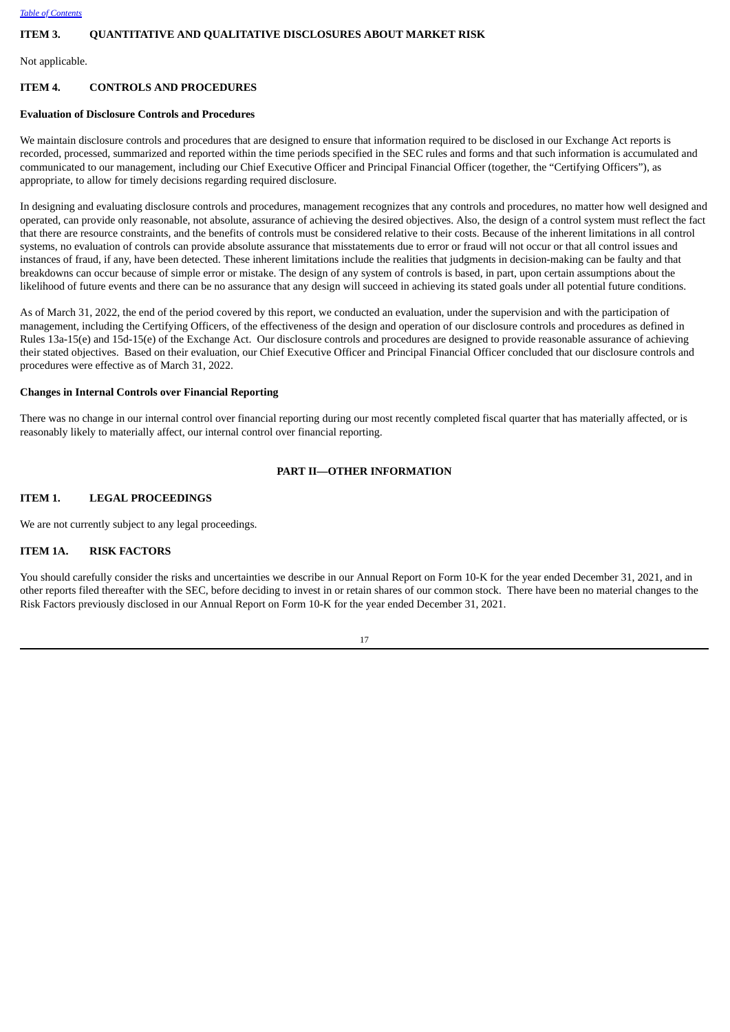# <span id="page-16-0"></span>**ITEM 3. QUANTITATIVE AND QUALITATIVE DISCLOSURES ABOUT MARKET RISK**

Not applicable.

# <span id="page-16-1"></span>**ITEM 4. CONTROLS AND PROCEDURES**

# **Evaluation of Disclosure Controls and Procedures**

We maintain disclosure controls and procedures that are designed to ensure that information required to be disclosed in our Exchange Act reports is recorded, processed, summarized and reported within the time periods specified in the SEC rules and forms and that such information is accumulated and communicated to our management, including our Chief Executive Officer and Principal Financial Officer (together, the "Certifying Officers"), as appropriate, to allow for timely decisions regarding required disclosure.

In designing and evaluating disclosure controls and procedures, management recognizes that any controls and procedures, no matter how well designed and operated, can provide only reasonable, not absolute, assurance of achieving the desired objectives. Also, the design of a control system must reflect the fact that there are resource constraints, and the benefits of controls must be considered relative to their costs. Because of the inherent limitations in all control systems, no evaluation of controls can provide absolute assurance that misstatements due to error or fraud will not occur or that all control issues and instances of fraud, if any, have been detected. These inherent limitations include the realities that judgments in decision-making can be faulty and that breakdowns can occur because of simple error or mistake. The design of any system of controls is based, in part, upon certain assumptions about the likelihood of future events and there can be no assurance that any design will succeed in achieving its stated goals under all potential future conditions.

As of March 31, 2022, the end of the period covered by this report, we conducted an evaluation, under the supervision and with the participation of management, including the Certifying Officers, of the effectiveness of the design and operation of our disclosure controls and procedures as defined in Rules 13a-15(e) and 15d-15(e) of the Exchange Act. Our disclosure controls and procedures are designed to provide reasonable assurance of achieving their stated objectives. Based on their evaluation, our Chief Executive Officer and Principal Financial Officer concluded that our disclosure controls and procedures were effective as of March 31, 2022.

# **Changes in Internal Controls over Financial Reporting**

There was no change in our internal control over financial reporting during our most recently completed fiscal quarter that has materially affected, or is reasonably likely to materially affect, our internal control over financial reporting.

# **PART II—OTHER INFORMATION**

# <span id="page-16-2"></span>**ITEM 1. LEGAL PROCEEDINGS**

We are not currently subject to any legal proceedings.

#### <span id="page-16-3"></span>**ITEM 1A. RISK FACTORS**

You should carefully consider the risks and uncertainties we describe in our Annual Report on Form 10-K for the year ended December 31, 2021, and in other reports filed thereafter with the SEC, before deciding to invest in or retain shares of our common stock. There have been no material changes to the Risk Factors previously disclosed in our Annual Report on Form 10-K for the year ended December 31, 2021.

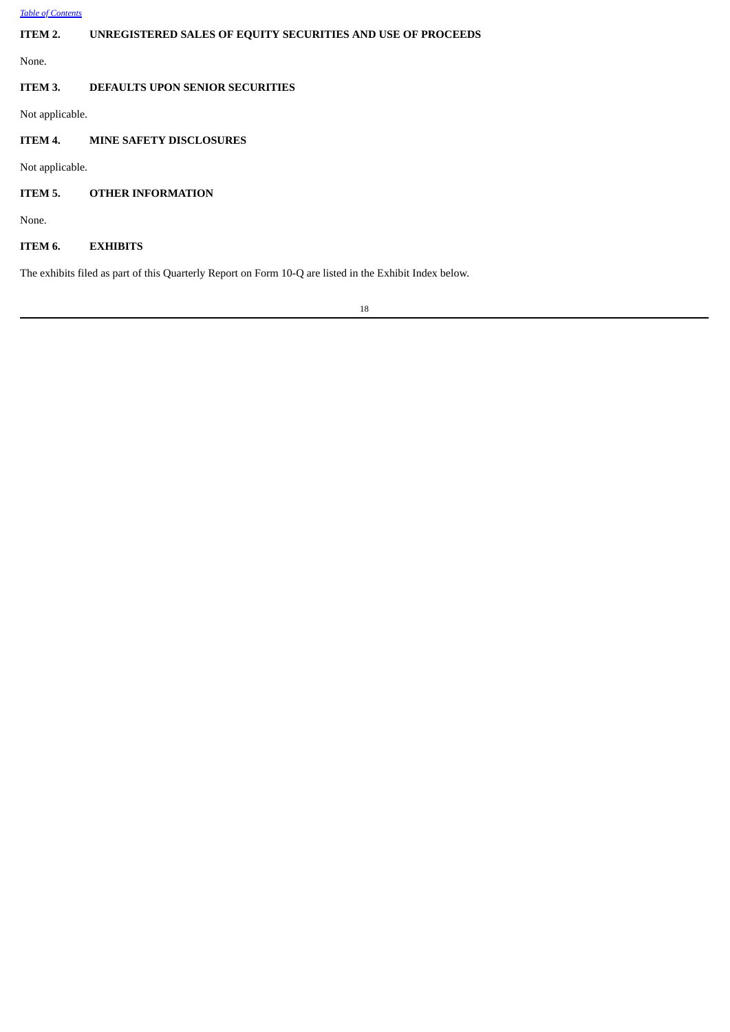| <b>Table of Contents</b> |
|--------------------------|
|                          |

<span id="page-17-2"></span><span id="page-17-1"></span><span id="page-17-0"></span>

| ITEM 2.         | UNREGISTERED SALES OF EQUITY SECURITIES AND USE OF PROCEEDS |
|-----------------|-------------------------------------------------------------|
| None.           |                                                             |
| ITEM 3.         | <b>DEFAULTS UPON SENIOR SECURITIES</b>                      |
| Not applicable. |                                                             |
| ITEM 4.         | <b>MINE SAFETY DISCLOSURES</b>                              |
| Not applicable. |                                                             |
| ITEM 5.         | <b>OTHER INFORMATION</b>                                    |
| None.           |                                                             |
| ITEM 6.         | <b>EXHIBITS</b>                                             |

<span id="page-17-4"></span><span id="page-17-3"></span>The exhibits filed as part of this Quarterly Report on Form 10-Q are listed in the Exhibit Index below.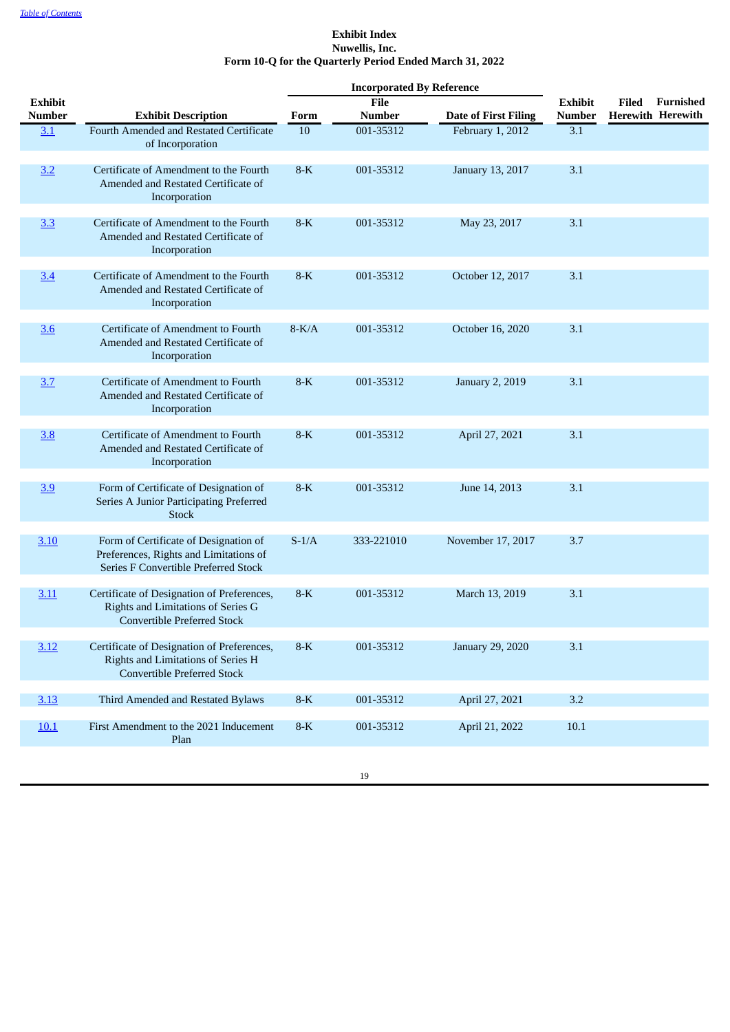# **Exhibit Index Nuwellis, Inc. Form 10-Q for the Quarterly Period Ended March 31, 2022**

|                |                                                                                                                         |         | <b>Incorporated By Reference</b> |                             |                |                          |
|----------------|-------------------------------------------------------------------------------------------------------------------------|---------|----------------------------------|-----------------------------|----------------|--------------------------|
| <b>Exhibit</b> |                                                                                                                         |         | <b>File</b>                      |                             | <b>Exhibit</b> | Furnished<br>Filed       |
| <b>Number</b>  | <b>Exhibit Description</b>                                                                                              | Form    | <b>Number</b>                    | <b>Date of First Filing</b> | <b>Number</b>  | <b>Herewith Herewith</b> |
| 3.1            | Fourth Amended and Restated Certificate<br>of Incorporation                                                             | 10      | 001-35312                        | February 1, 2012            | 3.1            |                          |
| 3.2            | Certificate of Amendment to the Fourth<br>Amended and Restated Certificate of<br>Incorporation                          | $8-K$   | 001-35312                        | January 13, 2017            | 3.1            |                          |
| 3.3            | Certificate of Amendment to the Fourth<br>Amended and Restated Certificate of<br>Incorporation                          | $8-K$   | 001-35312                        | May 23, 2017                | 3.1            |                          |
| 3.4            | Certificate of Amendment to the Fourth<br>Amended and Restated Certificate of<br>Incorporation                          | $8-K$   | 001-35312                        | October 12, 2017            | 3.1            |                          |
| 3.6            | Certificate of Amendment to Fourth<br>Amended and Restated Certificate of<br>Incorporation                              | $8-K/A$ | 001-35312                        | October 16, 2020            | 3.1            |                          |
| 3.7            | Certificate of Amendment to Fourth<br>Amended and Restated Certificate of<br>Incorporation                              | $8-K$   | 001-35312                        | January 2, 2019             | 3.1            |                          |
| 3.8            | Certificate of Amendment to Fourth<br>Amended and Restated Certificate of<br>Incorporation                              | $8-K$   | 001-35312                        | April 27, 2021              | 3.1            |                          |
| 3.9            | Form of Certificate of Designation of<br>Series A Junior Participating Preferred<br><b>Stock</b>                        | $8-K$   | 001-35312                        | June 14, 2013               | 3.1            |                          |
| 3.10           | Form of Certificate of Designation of<br>Preferences, Rights and Limitations of<br>Series F Convertible Preferred Stock | $S-1/A$ | 333-221010                       | November 17, 2017           | 3.7            |                          |
| 3.11           | Certificate of Designation of Preferences,<br>Rights and Limitations of Series G<br><b>Convertible Preferred Stock</b>  | $8-K$   | 001-35312                        | March 13, 2019              | 3.1            |                          |
| 3.12           | Certificate of Designation of Preferences,<br>Rights and Limitations of Series H<br><b>Convertible Preferred Stock</b>  | $8-K$   | 001-35312                        | January 29, 2020            | 3.1            |                          |
| 3.13           | Third Amended and Restated Bylaws                                                                                       | $8-K$   | 001-35312                        | April 27, 2021              | 3.2            |                          |
| 10.1           | First Amendment to the 2021 Inducement<br>Plan                                                                          | $8-K$   | 001-35312                        | April 21, 2022              | 10.1           |                          |
|                |                                                                                                                         |         |                                  |                             |                |                          |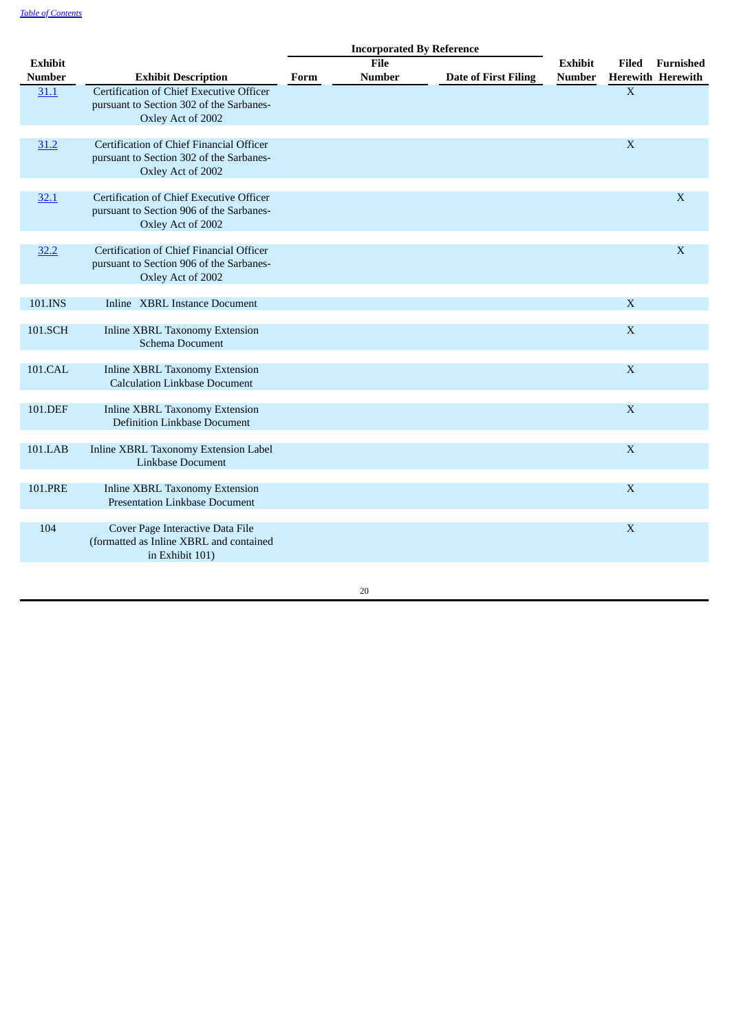|                |                                                                                                                  |      | <b>Incorporated By Reference</b> |                             |                |                          |           |
|----------------|------------------------------------------------------------------------------------------------------------------|------|----------------------------------|-----------------------------|----------------|--------------------------|-----------|
| <b>Exhibit</b> |                                                                                                                  |      | File                             |                             | <b>Exhibit</b> | Filed                    | Furnished |
| <b>Number</b>  | <b>Exhibit Description</b>                                                                                       | Form | <b>Number</b>                    | <b>Date of First Filing</b> | <b>Number</b>  | <b>Herewith Herewith</b> |           |
| 31.1           | <b>Certification of Chief Executive Officer</b><br>pursuant to Section 302 of the Sarbanes-<br>Oxley Act of 2002 |      |                                  |                             |                | $\mathbf X$              |           |
|                |                                                                                                                  |      |                                  |                             |                |                          |           |
| 31.2           | Certification of Chief Financial Officer<br>pursuant to Section 302 of the Sarbanes-<br>Oxley Act of 2002        |      |                                  |                             |                | X                        |           |
|                | <b>Certification of Chief Executive Officer</b>                                                                  |      |                                  |                             |                |                          | X         |
| 32.1           | pursuant to Section 906 of the Sarbanes-<br>Oxley Act of 2002                                                    |      |                                  |                             |                |                          |           |
|                |                                                                                                                  |      |                                  |                             |                |                          |           |
| 32.2           | Certification of Chief Financial Officer<br>pursuant to Section 906 of the Sarbanes-<br>Oxley Act of 2002        |      |                                  |                             |                |                          | X         |
| 101.INS        | Inline XBRL Instance Document                                                                                    |      |                                  |                             |                | $\mathbf{X}$             |           |
|                |                                                                                                                  |      |                                  |                             |                |                          |           |
| 101.SCH        | Inline XBRL Taxonomy Extension<br>Schema Document                                                                |      |                                  |                             |                | X                        |           |
| 101.CAL        | <b>Inline XBRL Taxonomy Extension</b>                                                                            |      |                                  |                             |                | $\mathbf X$              |           |
|                | <b>Calculation Linkbase Document</b>                                                                             |      |                                  |                             |                |                          |           |
| 101.DEF        | Inline XBRL Taxonomy Extension<br><b>Definition Linkbase Document</b>                                            |      |                                  |                             |                | X                        |           |
|                |                                                                                                                  |      |                                  |                             |                |                          |           |
| 101.LAB        | Inline XBRL Taxonomy Extension Label<br><b>Linkbase Document</b>                                                 |      |                                  |                             |                | X                        |           |
| 101.PRE        | Inline XBRL Taxonomy Extension                                                                                   |      |                                  |                             |                | X                        |           |
|                | <b>Presentation Linkbase Document</b>                                                                            |      |                                  |                             |                |                          |           |
| 104            | Cover Page Interactive Data File                                                                                 |      |                                  |                             |                | X                        |           |
|                | (formatted as Inline XBRL and contained<br>in Exhibit 101)                                                       |      |                                  |                             |                |                          |           |
|                |                                                                                                                  |      |                                  |                             |                |                          |           |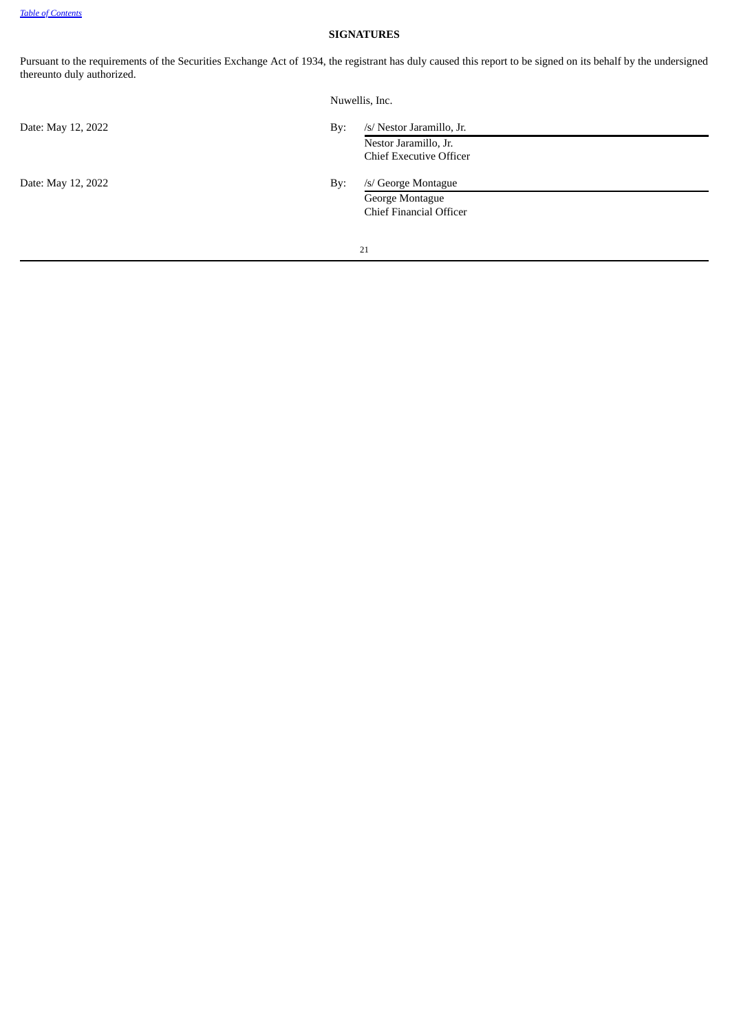# **SIGNATURES**

Pursuant to the requirements of the Securities Exchange Act of 1934, the registrant has duly caused this report to be signed on its behalf by the undersigned thereunto duly authorized.

|                    |     | Nuwellis, Inc.                 |
|--------------------|-----|--------------------------------|
| Date: May 12, 2022 | By: | /s/ Nestor Jaramillo, Jr.      |
|                    |     | Nestor Jaramillo, Jr.          |
|                    |     | <b>Chief Executive Officer</b> |
| Date: May 12, 2022 | By: | /s/ George Montague            |
|                    |     | George Montague                |
|                    |     | <b>Chief Financial Officer</b> |
|                    |     |                                |
|                    |     | 21                             |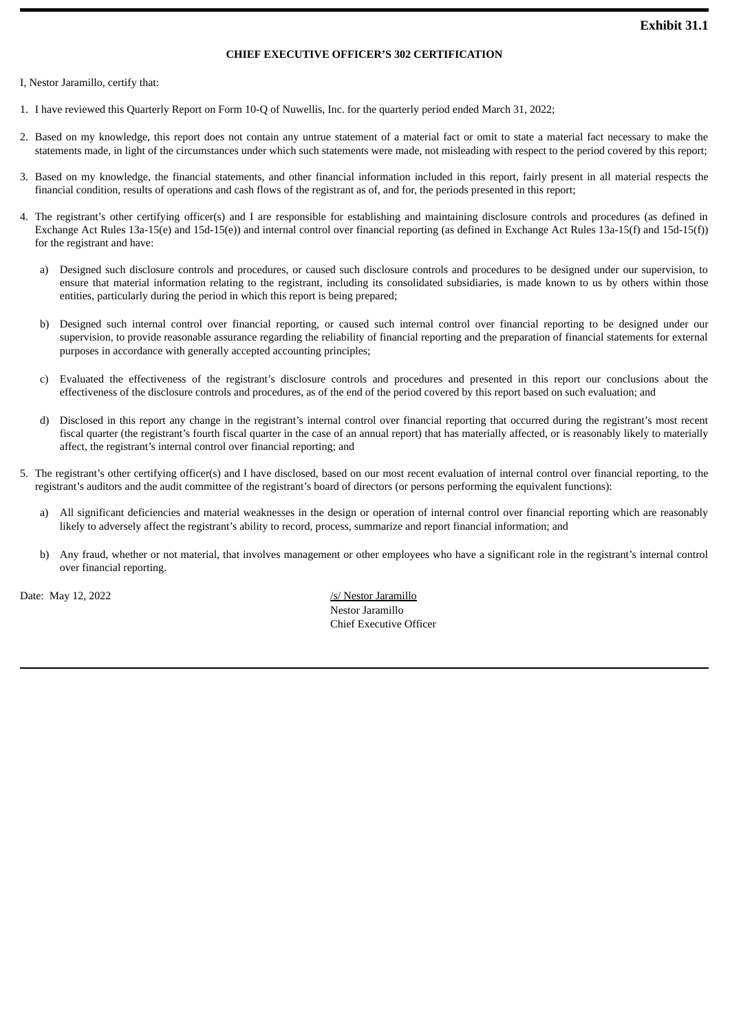# **CHIEF EXECUTIVE OFFICER'S 302 CERTIFICATION**

<span id="page-21-0"></span>I, Nestor Jaramillo, certify that:

- 1. I have reviewed this Quarterly Report on Form 10-Q of Nuwellis, Inc. for the quarterly period ended March 31, 2022;
- 2. Based on my knowledge, this report does not contain any untrue statement of a material fact or omit to state a material fact necessary to make the statements made, in light of the circumstances under which such statements were made, not misleading with respect to the period covered by this report;
- 3. Based on my knowledge, the financial statements, and other financial information included in this report, fairly present in all material respects the financial condition, results of operations and cash flows of the registrant as of, and for, the periods presented in this report;
- 4. The registrant's other certifying officer(s) and I are responsible for establishing and maintaining disclosure controls and procedures (as defined in Exchange Act Rules 13a-15(e) and 15d-15(e)) and internal control over financial reporting (as defined in Exchange Act Rules 13a-15(f) and 15d-15(f)) for the registrant and have:
	- a) Designed such disclosure controls and procedures, or caused such disclosure controls and procedures to be designed under our supervision, to ensure that material information relating to the registrant, including its consolidated subsidiaries, is made known to us by others within those entities, particularly during the period in which this report is being prepared;
	- b) Designed such internal control over financial reporting, or caused such internal control over financial reporting to be designed under our supervision, to provide reasonable assurance regarding the reliability of financial reporting and the preparation of financial statements for external purposes in accordance with generally accepted accounting principles;
	- c) Evaluated the effectiveness of the registrant's disclosure controls and procedures and presented in this report our conclusions about the effectiveness of the disclosure controls and procedures, as of the end of the period covered by this report based on such evaluation; and
	- d) Disclosed in this report any change in the registrant's internal control over financial reporting that occurred during the registrant's most recent fiscal quarter (the registrant's fourth fiscal quarter in the case of an annual report) that has materially affected, or is reasonably likely to materially affect, the registrant's internal control over financial reporting; and
- 5. The registrant's other certifying officer(s) and I have disclosed, based on our most recent evaluation of internal control over financial reporting, to the registrant's auditors and the audit committee of the registrant's board of directors (or persons performing the equivalent functions):
	- a) All significant deficiencies and material weaknesses in the design or operation of internal control over financial reporting which are reasonably likely to adversely affect the registrant's ability to record, process, summarize and report financial information; and
	- b) Any fraud, whether or not material, that involves management or other employees who have a significant role in the registrant's internal control over financial reporting.

Date: May 12, 2022 /s/ Nestor Jaramillo

Nestor Jaramillo Chief Executive Officer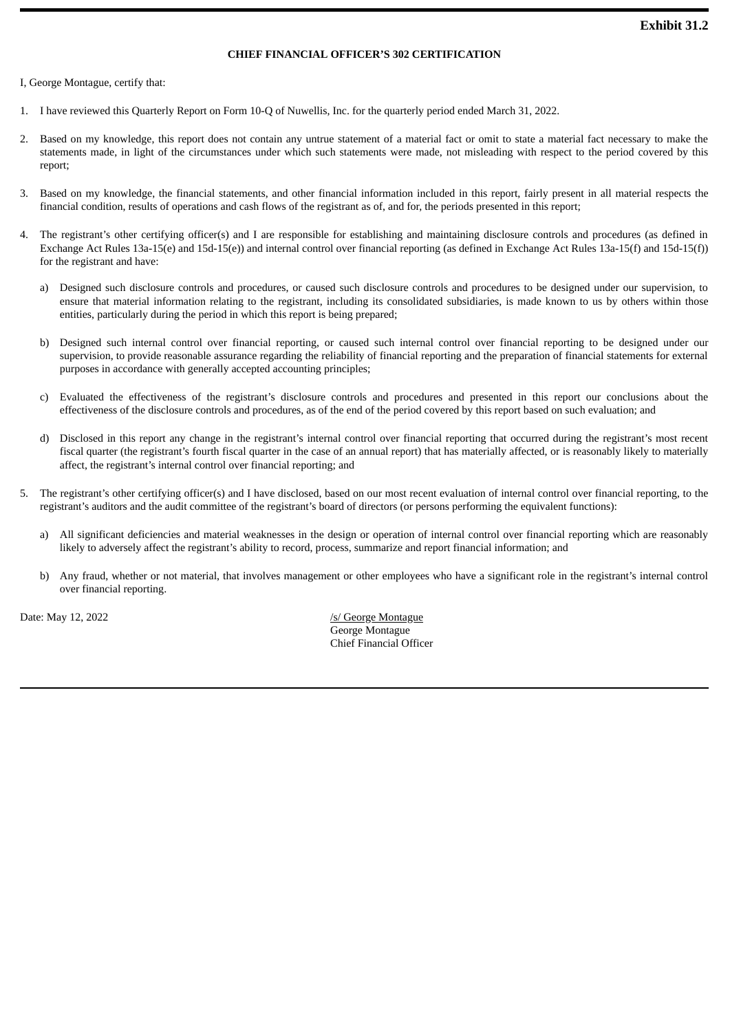# **CHIEF FINANCIAL OFFICER'S 302 CERTIFICATION**

<span id="page-22-0"></span>I, George Montague, certify that:

- 1. I have reviewed this Quarterly Report on Form 10-Q of Nuwellis, Inc. for the quarterly period ended March 31, 2022.
- 2. Based on my knowledge, this report does not contain any untrue statement of a material fact or omit to state a material fact necessary to make the statements made, in light of the circumstances under which such statements were made, not misleading with respect to the period covered by this report;
- 3. Based on my knowledge, the financial statements, and other financial information included in this report, fairly present in all material respects the financial condition, results of operations and cash flows of the registrant as of, and for, the periods presented in this report;
- 4. The registrant's other certifying officer(s) and I are responsible for establishing and maintaining disclosure controls and procedures (as defined in Exchange Act Rules 13a-15(e) and 15d-15(e)) and internal control over financial reporting (as defined in Exchange Act Rules 13a-15(f) and 15d-15(f)) for the registrant and have:
	- a) Designed such disclosure controls and procedures, or caused such disclosure controls and procedures to be designed under our supervision, to ensure that material information relating to the registrant, including its consolidated subsidiaries, is made known to us by others within those entities, particularly during the period in which this report is being prepared;
	- b) Designed such internal control over financial reporting, or caused such internal control over financial reporting to be designed under our supervision, to provide reasonable assurance regarding the reliability of financial reporting and the preparation of financial statements for external purposes in accordance with generally accepted accounting principles;
	- c) Evaluated the effectiveness of the registrant's disclosure controls and procedures and presented in this report our conclusions about the effectiveness of the disclosure controls and procedures, as of the end of the period covered by this report based on such evaluation; and
	- d) Disclosed in this report any change in the registrant's internal control over financial reporting that occurred during the registrant's most recent fiscal quarter (the registrant's fourth fiscal quarter in the case of an annual report) that has materially affected, or is reasonably likely to materially affect, the registrant's internal control over financial reporting; and
- 5. The registrant's other certifying officer(s) and I have disclosed, based on our most recent evaluation of internal control over financial reporting, to the registrant's auditors and the audit committee of the registrant's board of directors (or persons performing the equivalent functions):
	- a) All significant deficiencies and material weaknesses in the design or operation of internal control over financial reporting which are reasonably likely to adversely affect the registrant's ability to record, process, summarize and report financial information; and
	- b) Any fraud, whether or not material, that involves management or other employees who have a significant role in the registrant's internal control over financial reporting.

Date: May 12, 2022 */s/ George Montague* George Montague Chief Financial Officer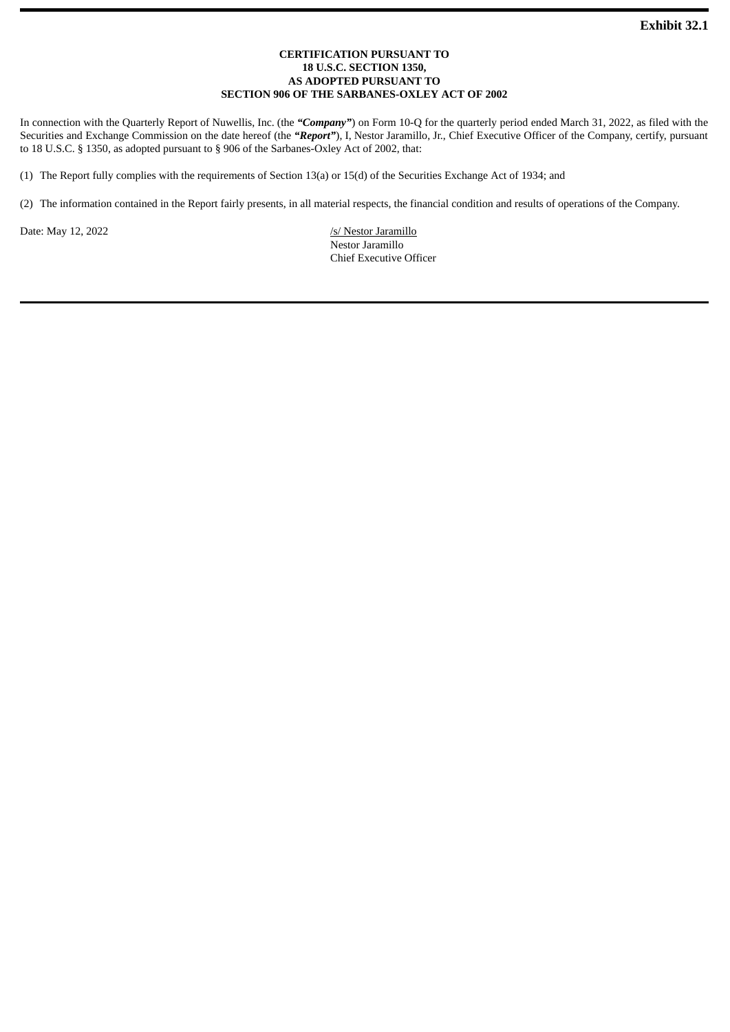# **CERTIFICATION PURSUANT TO 18 U.S.C. SECTION 1350, AS ADOPTED PURSUANT TO SECTION 906 OF THE SARBANES-OXLEY ACT OF 2002**

<span id="page-23-0"></span>In connection with the Quarterly Report of Nuwellis, Inc. (the *"Company"*) on Form 10-Q for the quarterly period ended March 31, 2022, as filed with the Securities and Exchange Commission on the date hereof (the *"Report"*), I, Nestor Jaramillo, Jr., Chief Executive Officer of the Company, certify, pursuant to 18 U.S.C. § 1350, as adopted pursuant to § 906 of the Sarbanes-Oxley Act of 2002, that:

(1) The Report fully complies with the requirements of Section 13(a) or 15(d) of the Securities Exchange Act of 1934; and

(2) The information contained in the Report fairly presents, in all material respects, the financial condition and results of operations of the Company.

Date: May 12, 2022 /s/ Nestor Jaramillo Nestor Jaramillo Chief Executive Officer